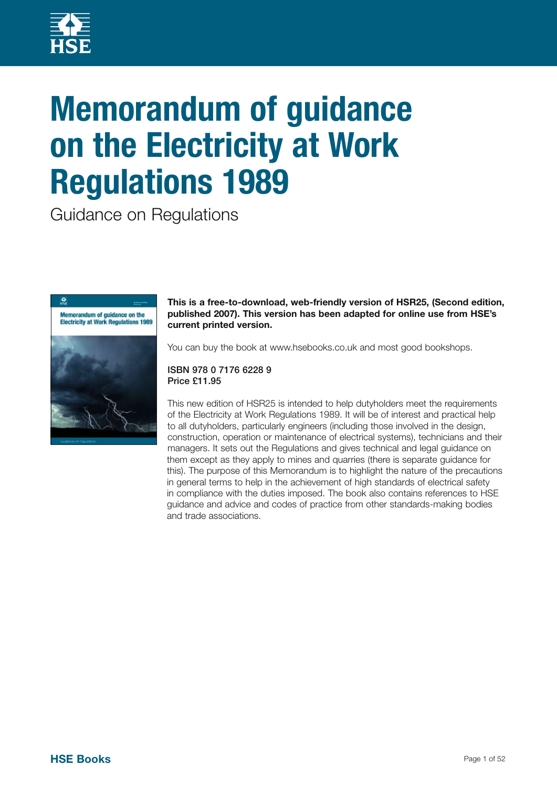

# **Memorandum of guidance on the Electricity at Work Regulations 1989**

Guidance on Regulations



**This is a free-to-download, web-friendly version of HSR25, (Second edition, published 2007). This version has been adapted for online use from HSE's current printed version.** 

You can buy the book at www.hsebooks.co.uk and most good bookshops.

#### ISBN 978 0 7176 6228 9 Price £11.95

This new edition of HSR25 is intended to help dutyholders meet the requirements of the Electricity at Work Regulations 1989. It will be of interest and practical help to all dutyholders, particularly engineers (including those involved in the design, construction, operation or maintenance of electrical systems), technicians and their managers. It sets out the Regulations and gives technical and legal guidance on them except as they apply to mines and quarries (there is separate guidance for this). The purpose of this Memorandum is to highlight the nature of the precautions in general terms to help in the achievement of high standards of electrical safety in compliance with the duties imposed. The book also contains references to HSE guidance and advice and codes of practice from other standards-making bodies and trade associations.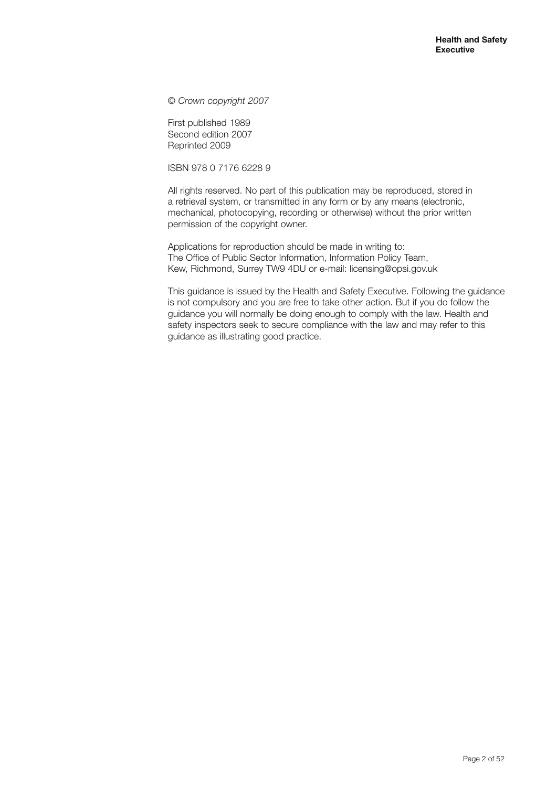© *Crown copyright 2007*

First published 1989 Second edition 2007 Reprinted 2009

ISBN 978 0 7176 6228 9

All rights reserved. No part of this publication may be reproduced, stored in a retrieval system, or transmitted in any form or by any means (electronic, mechanical, photocopying, recording or otherwise) without the prior written permission of the copyright owner.

Applications for reproduction should be made in writing to: The Office of Public Sector Information, Information Policy Team, Kew, Richmond, Surrey TW9 4DU or e-mail: licensing@opsi.gov.uk

This guidance is issued by the Health and Safety Executive. Following the guidance is not compulsory and you are free to take other action. But if you do follow the guidance you will normally be doing enough to comply with the law. Health and safety inspectors seek to secure compliance with the law and may refer to this guidance as illustrating good practice.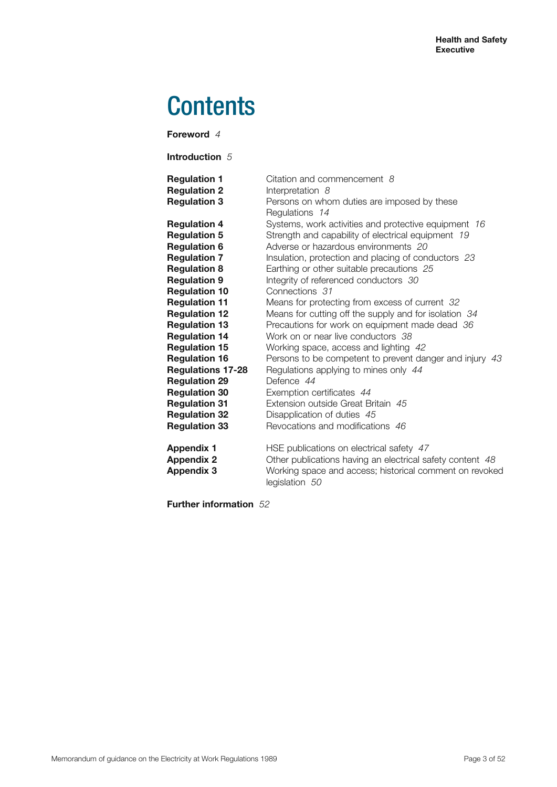# **Contents**

**Foreword** *4*

**Introduction** *5*

| <b>Regulation 1</b><br><b>Regulation 2</b><br><b>Regulation 3</b> | Citation and commencement 8<br>Interpretation 8<br>Persons on whom duties are imposed by these<br>Regulations 14 |
|-------------------------------------------------------------------|------------------------------------------------------------------------------------------------------------------|
| <b>Regulation 4</b>                                               | Systems, work activities and protective equipment 16                                                             |
| <b>Regulation 5</b>                                               | Strength and capability of electrical equipment 19                                                               |
| <b>Regulation 6</b>                                               | Adverse or hazardous environments 20                                                                             |
| <b>Regulation 7</b>                                               | Insulation, protection and placing of conductors 23                                                              |
| <b>Regulation 8</b>                                               | Earthing or other suitable precautions 25                                                                        |
| <b>Regulation 9</b>                                               | Integrity of referenced conductors 30                                                                            |
| <b>Regulation 10</b>                                              | Connections 31                                                                                                   |
| <b>Regulation 11</b>                                              | Means for protecting from excess of current 32                                                                   |
| <b>Regulation 12</b>                                              | Means for cutting off the supply and for isolation 34                                                            |
| <b>Regulation 13</b>                                              | Precautions for work on equipment made dead 36                                                                   |
| <b>Regulation 14</b>                                              | Work on or near live conductors 38                                                                               |
| <b>Regulation 15</b>                                              | Working space, access and lighting 42                                                                            |
| <b>Regulation 16</b>                                              | Persons to be competent to prevent danger and injury 43                                                          |
| <b>Regulations 17-28</b>                                          | Regulations applying to mines only 44                                                                            |
| <b>Regulation 29</b>                                              | Defence 44                                                                                                       |
| <b>Regulation 30</b>                                              | Exemption certificates 44                                                                                        |
| <b>Regulation 31</b>                                              | Extension outside Great Britain 45                                                                               |
| <b>Regulation 32</b>                                              | Disapplication of duties 45                                                                                      |
| <b>Regulation 33</b>                                              | Revocations and modifications 46                                                                                 |
| <b>Appendix 1</b>                                                 | HSE publications on electrical safety 47                                                                         |
| <b>Appendix 2</b>                                                 | Other publications having an electrical safety content 48                                                        |
| <b>Appendix 3</b>                                                 | Working space and access; historical comment on revoked<br>legislation 50                                        |

**Further information** *52*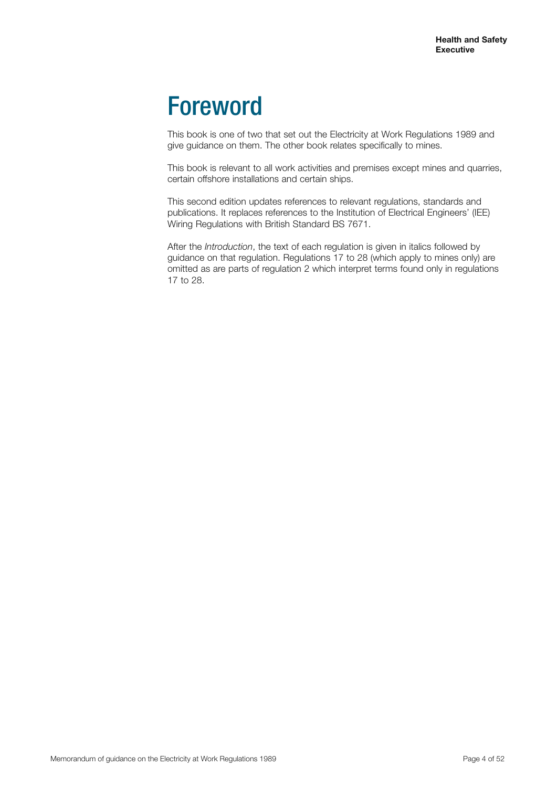# Foreword

This book is one of two that set out the Electricity at Work Regulations 1989 and give guidance on them. The other book relates specifically to mines.

This book is relevant to all work activities and premises except mines and quarries, certain offshore installations and certain ships.

This second edition updates references to relevant regulations, standards and publications. It replaces references to the Institution of Electrical Engineers' (IEE) Wiring Regulations with British Standard BS 7671.

After the *Introduction*, the text of each regulation is given in italics followed by guidance on that regulation. Regulations 17 to 28 (which apply to mines only) are omitted as are parts of regulation 2 which interpret terms found only in regulations 17 to 28.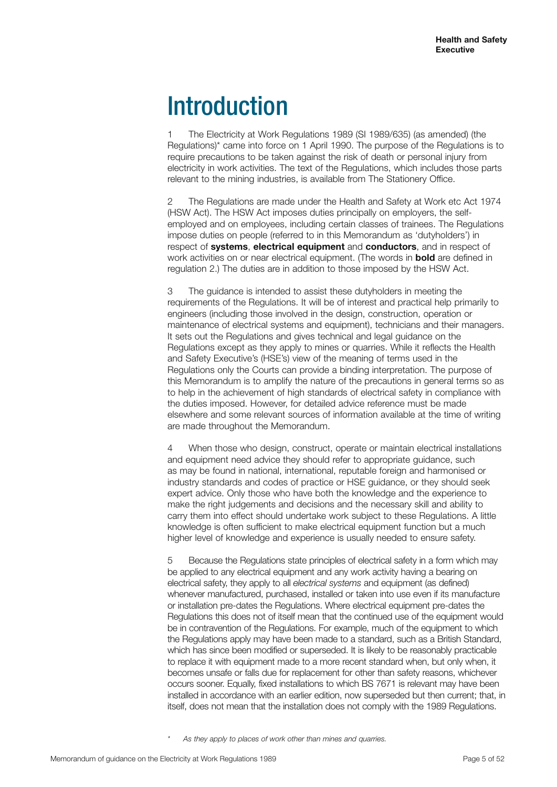# **Introduction**

1 The Electricity at Work Regulations 1989 (SI 1989/635) (as amended) (the Regulations)\* came into force on 1 April 1990. The purpose of the Regulations is to require precautions to be taken against the risk of death or personal injury from electricity in work activities. The text of the Regulations, which includes those parts relevant to the mining industries, is available from The Stationery Office.

2 The Regulations are made under the Health and Safety at Work etc Act 1974 (HSW Act). The HSW Act imposes duties principally on employers, the selfemployed and on employees, including certain classes of trainees. The Regulations impose duties on people (referred to in this Memorandum as 'dutyholders') in respect of **systems**, **electrical equipment** and **conductors**, and in respect of work activities on or near electrical equipment. (The words in **bold** are defined in regulation 2.) The duties are in addition to those imposed by the HSW Act.

3 The guidance is intended to assist these dutyholders in meeting the requirements of the Regulations. It will be of interest and practical help primarily to engineers (including those involved in the design, construction, operation or maintenance of electrical systems and equipment), technicians and their managers. It sets out the Regulations and gives technical and legal guidance on the Regulations except as they apply to mines or quarries. While it reflects the Health and Safety Executive's (HSE's) view of the meaning of terms used in the Regulations only the Courts can provide a binding interpretation. The purpose of this Memorandum is to amplify the nature of the precautions in general terms so as to help in the achievement of high standards of electrical safety in compliance with the duties imposed. However, for detailed advice reference must be made elsewhere and some relevant sources of information available at the time of writing are made throughout the Memorandum.

4 When those who design, construct, operate or maintain electrical installations and equipment need advice they should refer to appropriate guidance, such as may be found in national, international, reputable foreign and harmonised or industry standards and codes of practice or HSE guidance, or they should seek expert advice. Only those who have both the knowledge and the experience to make the right judgements and decisions and the necessary skill and ability to carry them into effect should undertake work subject to these Regulations. A little knowledge is often sufficient to make electrical equipment function but a much higher level of knowledge and experience is usually needed to ensure safety.

5 Because the Regulations state principles of electrical safety in a form which may be applied to any electrical equipment and any work activity having a bearing on electrical safety, they apply to all *electrical systems* and equipment (as defined) whenever manufactured, purchased, installed or taken into use even if its manufacture or installation pre-dates the Regulations. Where electrical equipment pre-dates the Regulations this does not of itself mean that the continued use of the equipment would be in contravention of the Regulations. For example, much of the equipment to which the Regulations apply may have been made to a standard, such as a British Standard, which has since been modified or superseded. It is likely to be reasonably practicable to replace it with equipment made to a more recent standard when, but only when, it becomes unsafe or falls due for replacement for other than safety reasons, whichever occurs sooner. Equally, fixed installations to which BS 7671 is relevant may have been installed in accordance with an earlier edition, now superseded but then current; that, in itself, does not mean that the installation does not comply with the 1989 Regulations.

As they apply to places of work other than mines and quarries.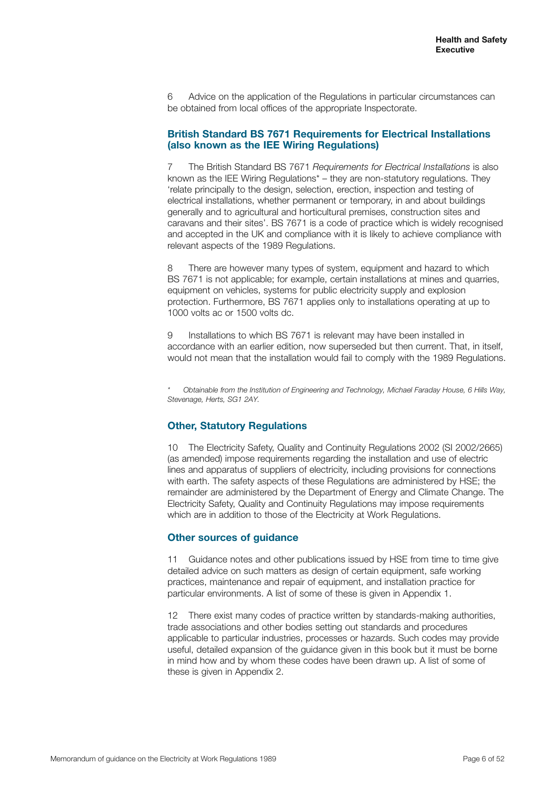6 Advice on the application of the Regulations in particular circumstances can be obtained from local offices of the appropriate Inspectorate.

## **British Standard BS 7671 Requirements for Electrical Installations (also known as the IEE Wiring Regulations)**

7 The British Standard BS 7671 *Requirements for Electrical Installations* is also known as the IEE Wiring Regulations\* – they are non-statutory regulations. They 'relate principally to the design, selection, erection, inspection and testing of electrical installations, whether permanent or temporary, in and about buildings generally and to agricultural and horticultural premises, construction sites and caravans and their sites'. BS 7671 is a code of practice which is widely recognised and accepted in the UK and compliance with it is likely to achieve compliance with relevant aspects of the 1989 Regulations.

8 There are however many types of system, equipment and hazard to which BS 7671 is not applicable; for example, certain installations at mines and quarries, equipment on vehicles, systems for public electricity supply and explosion protection. Furthermore, BS 7671 applies only to installations operating at up to 1000 volts ac or 1500 volts dc.

9 Installations to which BS 7671 is relevant may have been installed in accordance with an earlier edition, now superseded but then current. That, in itself, would not mean that the installation would fail to comply with the 1989 Regulations.

*\* Obtainable from the Institution of Engineering and Technology, Michael Faraday House, 6 Hills Way, Stevenage, Herts, SG1 2AY.*

## **Other, Statutory Regulations**

10 The Electricity Safety, Quality and Continuity Regulations 2002 (SI 2002/2665) (as amended) impose requirements regarding the installation and use of electric lines and apparatus of suppliers of electricity, including provisions for connections with earth. The safety aspects of these Regulations are administered by HSE; the remainder are administered by the Department of Energy and Climate Change. The Electricity Safety, Quality and Continuity Regulations may impose requirements which are in addition to those of the Electricity at Work Regulations.

#### **Other sources of guidance**

11 Guidance notes and other publications issued by HSE from time to time give detailed advice on such matters as design of certain equipment, safe working practices, maintenance and repair of equipment, and installation practice for particular environments. A list of some of these is given in Appendix 1.

12 There exist many codes of practice written by standards-making authorities, trade associations and other bodies setting out standards and procedures applicable to particular industries, processes or hazards. Such codes may provide useful, detailed expansion of the guidance given in this book but it must be borne in mind how and by whom these codes have been drawn up. A list of some of these is given in Appendix 2.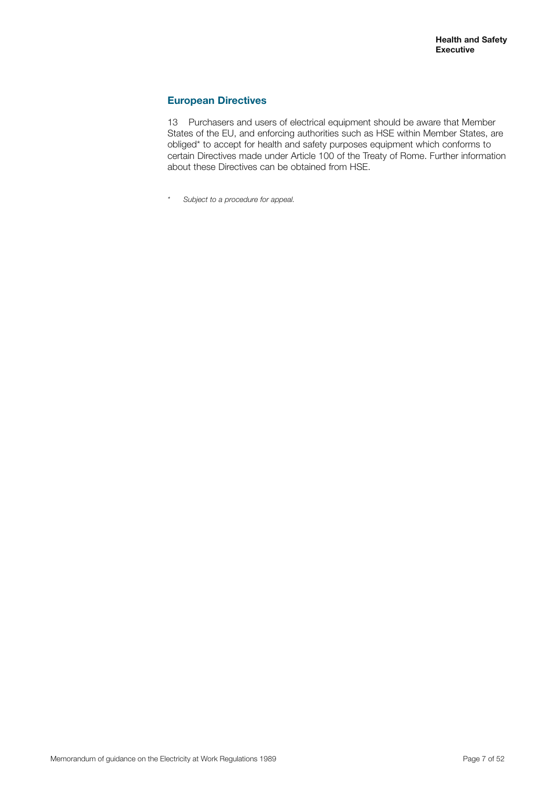# **European Directives**

13 Purchasers and users of electrical equipment should be aware that Member States of the EU, and enforcing authorities such as HSE within Member States, are obliged\* to accept for health and safety purposes equipment which conforms to certain Directives made under Article 100 of the Treaty of Rome. Further information about these Directives can be obtained from HSE.

*\* Subject to a procedure for appeal.*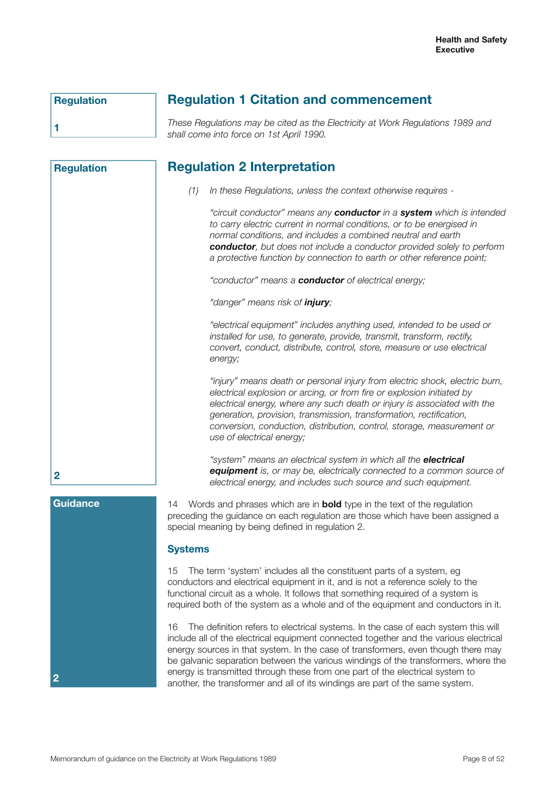**Regulation**

**Regulation**

**1**

# **Regulation 1 Citation and commencement**

*These Regulations may be cited as the Electricity at Work Regulations 1989 and shall come into force on 1st April 1990.*

# **Regulation 2 Interpretation**

*(1) In these Regulations, unless the context otherwise requires -*

*"circuit conductor" means any conductor in a system which is intended to carry electric current in normal conditions, or to be energised in normal conditions, and includes a combined neutral and earth conductor, but does not include a conductor provided solely to perform a protective function by connection to earth or other reference point;*

*"conductor" means a conductor of electrical energy;*

*"danger" means risk of injury;*

*"electrical equipment" includes anything used, intended to be used or installed for use, to generate, provide, transmit, transform, rectify, convert, conduct, distribute, control, store, measure or use electrical energy;*

*"injury" means death or personal injury from electric shock, electric burn, electrical explosion or arcing, or from fire or explosion initiated by electrical energy, where any such death or injury is associated with the generation, provision, transmission, transformation, rectification, conversion, conduction, distribution, control, storage, measurement or use of electrical energy;*

*"system" means an electrical system in which all the electrical equipment is, or may be, electrically connected to a common source of electrical energy, and includes such source and such equipment.*

#### **Guidance**

**2**

**2**

14 Words and phrases which are in **bold** type in the text of the regulation preceding the guidance on each regulation are those which have been assigned a special meaning by being defined in regulation 2.

# **Systems**

15 The term 'system' includes all the constituent parts of a system, eg conductors and electrical equipment in it, and is not a reference solely to the functional circuit as a whole. It follows that something required of a system is required both of the system as a whole and of the equipment and conductors in it.

16 The definition refers to electrical systems. In the case of each system this will include all of the electrical equipment connected together and the various electrical energy sources in that system. In the case of transformers, even though there may be galvanic separation between the various windings of the transformers, where the energy is transmitted through these from one part of the electrical system to another, the transformer and all of its windings are part of the same system.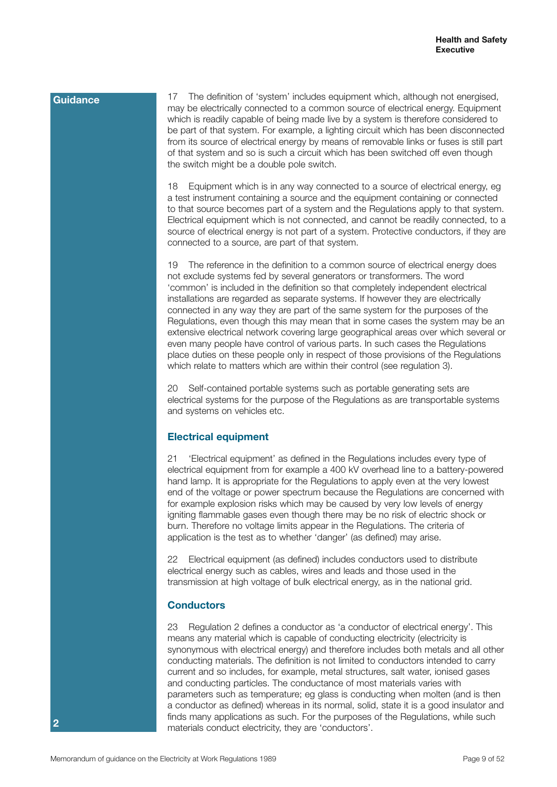17 The definition of 'system' includes equipment which, although not energised, may be electrically connected to a common source of electrical energy. Equipment which is readily capable of being made live by a system is therefore considered to be part of that system. For example, a lighting circuit which has been disconnected from its source of electrical energy by means of removable links or fuses is still part of that system and so is such a circuit which has been switched off even though the switch might be a double pole switch.

18 Equipment which is in any way connected to a source of electrical energy, eg a test instrument containing a source and the equipment containing or connected to that source becomes part of a system and the Regulations apply to that system. Electrical equipment which is not connected, and cannot be readily connected, to a source of electrical energy is not part of a system. Protective conductors, if they are connected to a source, are part of that system.

19 The reference in the definition to a common source of electrical energy does not exclude systems fed by several generators or transformers. The word 'common' is included in the definition so that completely independent electrical installations are regarded as separate systems. If however they are electrically connected in any way they are part of the same system for the purposes of the Regulations, even though this may mean that in some cases the system may be an extensive electrical network covering large geographical areas over which several or even many people have control of various parts. In such cases the Regulations place duties on these people only in respect of those provisions of the Regulations which relate to matters which are within their control (see regulation 3).

20 Self-contained portable systems such as portable generating sets are electrical systems for the purpose of the Regulations as are transportable systems and systems on vehicles etc.

## **Electrical equipment**

21 'Electrical equipment' as defined in the Regulations includes every type of electrical equipment from for example a 400 kV overhead line to a battery-powered hand lamp. It is appropriate for the Regulations to apply even at the very lowest end of the voltage or power spectrum because the Regulations are concerned with for example explosion risks which may be caused by very low levels of energy igniting flammable gases even though there may be no risk of electric shock or burn. Therefore no voltage limits appear in the Regulations. The criteria of application is the test as to whether 'danger' (as defined) may arise.

22 Electrical equipment (as defined) includes conductors used to distribute electrical energy such as cables, wires and leads and those used in the transmission at high voltage of bulk electrical energy, as in the national grid.

## **Conductors**

23 Regulation 2 defines a conductor as 'a conductor of electrical energy'. This means any material which is capable of conducting electricity (electricity is synonymous with electrical energy) and therefore includes both metals and all other conducting materials. The definition is not limited to conductors intended to carry current and so includes, for example, metal structures, salt water, ionised gases and conducting particles. The conductance of most materials varies with parameters such as temperature; eg glass is conducting when molten (and is then a conductor as defined) whereas in its normal, solid, state it is a good insulator and finds many applications as such. For the purposes of the Regulations, while such materials conduct electricity, they are 'conductors'.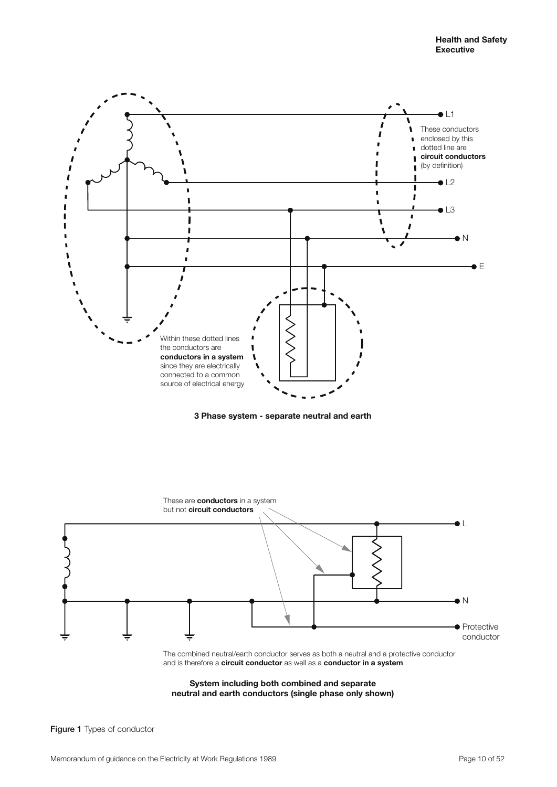

**3 Phase system - separate neutral and earth**



**System including both combined and separate neutral and earth conductors (single phase only shown)**

Figure 1 Types of conductor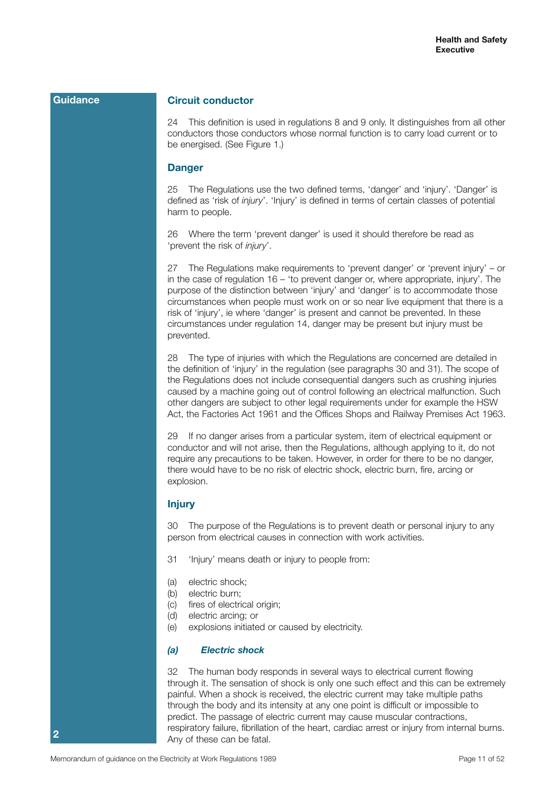# **Circuit conductor**

24 This definition is used in regulations 8 and 9 only. It distinguishes from all other conductors those conductors whose normal function is to carry load current or to be energised. (See Figure 1.)

#### **Danger**

25 The Regulations use the two defined terms, 'danger' and 'injury'. 'Danger' is defined as 'risk of *injury*'. 'Injury' is defined in terms of certain classes of potential harm to people.

26 Where the term 'prevent danger' is used it should therefore be read as 'prevent the risk of *injury*'.

27 The Regulations make requirements to 'prevent danger' or 'prevent injury' – or in the case of regulation 16 – 'to prevent danger or, where appropriate, injury'. The purpose of the distinction between 'injury' and 'danger' is to accommodate those circumstances when people must work on or so near live equipment that there is a risk of 'injury', ie where 'danger' is present and cannot be prevented. In these circumstances under regulation 14, danger may be present but injury must be prevented.

28 The type of injuries with which the Regulations are concerned are detailed in the definition of 'injury' in the regulation (see paragraphs 30 and 31). The scope of the Regulations does not include consequential dangers such as crushing injuries caused by a machine going out of control following an electrical malfunction. Such other dangers are subject to other legal requirements under for example the HSW Act, the Factories Act 1961 and the Offices Shops and Railway Premises Act 1963.

29 If no danger arises from a particular system, item of electrical equipment or conductor and will not arise, then the Regulations, although applying to it, do not require any precautions to be taken. However, in order for there to be no danger, there would have to be no risk of electric shock, electric burn, fire, arcing or explosion.

#### **Injury**

30 The purpose of the Regulations is to prevent death or personal injury to any person from electrical causes in connection with work activities.

- 31 'Injury' means death or injury to people from:
- (a) electric shock;
- (b) electric burn;
- (c) fires of electrical origin;
- (d) electric arcing; or
- (e) explosions initiated or caused by electricity.

# *(a) Electric shock*

32 The human body responds in several ways to electrical current flowing through it. The sensation of shock is only one such effect and this can be extremely painful. When a shock is received, the electric current may take multiple paths through the body and its intensity at any one point is difficult or impossible to predict. The passage of electric current may cause muscular contractions, respiratory failure, fibrillation of the heart, cardiac arrest or injury from internal burns. Any of these can be fatal.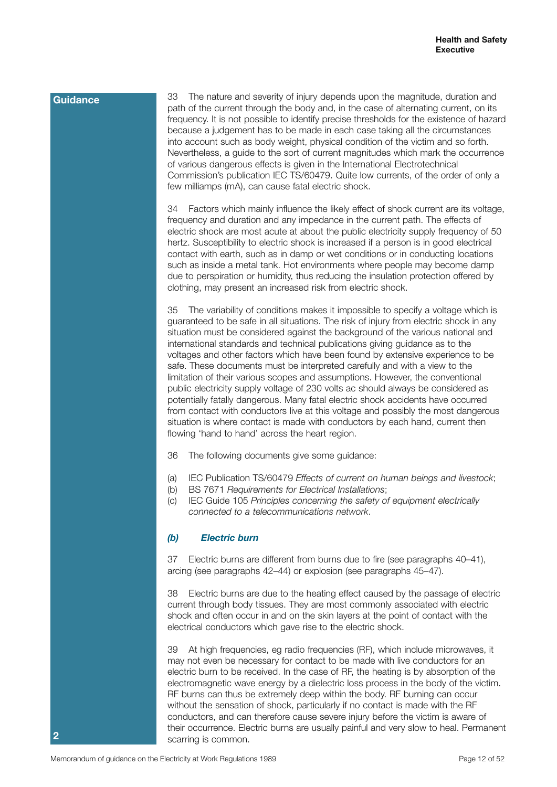33 The nature and severity of injury depends upon the magnitude, duration and path of the current through the body and, in the case of alternating current, on its frequency. It is not possible to identify precise thresholds for the existence of hazard because a judgement has to be made in each case taking all the circumstances into account such as body weight, physical condition of the victim and so forth. Nevertheless, a guide to the sort of current magnitudes which mark the occurrence of various dangerous effects is given in the International Electrotechnical Commission's publication IEC TS/60479. Quite low currents, of the order of only a few milliamps (mA), can cause fatal electric shock.

34 Factors which mainly influence the likely effect of shock current are its voltage, frequency and duration and any impedance in the current path. The effects of electric shock are most acute at about the public electricity supply frequency of 50 hertz. Susceptibility to electric shock is increased if a person is in good electrical contact with earth, such as in damp or wet conditions or in conducting locations such as inside a metal tank. Hot environments where people may become damp due to perspiration or humidity, thus reducing the insulation protection offered by clothing, may present an increased risk from electric shock.

35 The variability of conditions makes it impossible to specify a voltage which is guaranteed to be safe in all situations. The risk of injury from electric shock in any situation must be considered against the background of the various national and international standards and technical publications giving guidance as to the voltages and other factors which have been found by extensive experience to be safe. These documents must be interpreted carefully and with a view to the limitation of their various scopes and assumptions. However, the conventional public electricity supply voltage of 230 volts ac should always be considered as potentially fatally dangerous. Many fatal electric shock accidents have occurred from contact with conductors live at this voltage and possibly the most dangerous situation is where contact is made with conductors by each hand, current then flowing 'hand to hand' across the heart region.

- 36 The following documents give some guidance:
- (a) IEC Publication TS/60479 *Effects of current on human beings and livestock*;
- (b) BS 7671 *Requirements for Electrical Installations*;
- (c) IEC Guide 105 *Principles concerning the safety of equipment electrically connected to a telecommunications network*.

# *(b) Electric burn*

37 Electric burns are different from burns due to fire (see paragraphs 40–41), arcing (see paragraphs 42–44) or explosion (see paragraphs 45–47).

38 Electric burns are due to the heating effect caused by the passage of electric current through body tissues. They are most commonly associated with electric shock and often occur in and on the skin layers at the point of contact with the electrical conductors which gave rise to the electric shock.

39 At high frequencies, eg radio frequencies (RF), which include microwaves, it may not even be necessary for contact to be made with live conductors for an electric burn to be received. In the case of RF, the heating is by absorption of the electromagnetic wave energy by a dielectric loss process in the body of the victim. RF burns can thus be extremely deep within the body. RF burning can occur without the sensation of shock, particularly if no contact is made with the RF conductors, and can therefore cause severe injury before the victim is aware of their occurrence. Electric burns are usually painful and very slow to heal. Permanent scarring is common.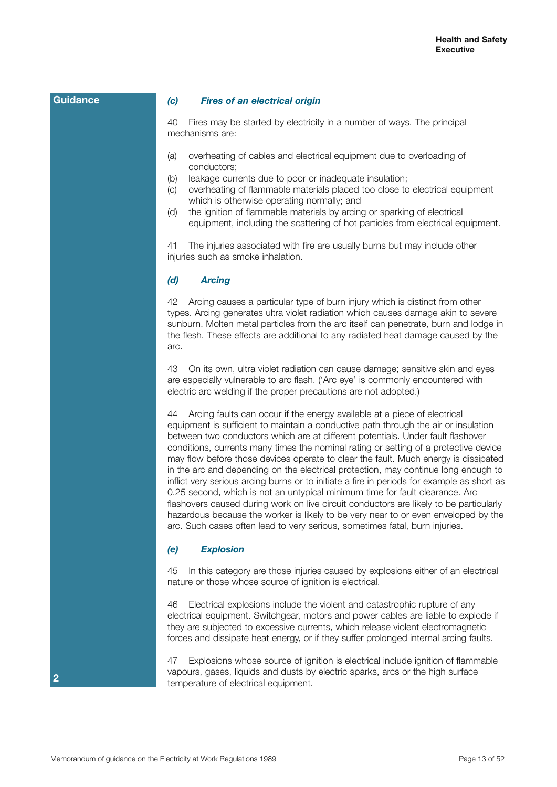#### *(c) Fires of an electrical origin*

40 Fires may be started by electricity in a number of ways. The principal mechanisms are:

- (a) overheating of cables and electrical equipment due to overloading of conductors;
- (b) leakage currents due to poor or inadequate insulation;
- (c) overheating of flammable materials placed too close to electrical equipment which is otherwise operating normally; and
- (d) the ignition of flammable materials by arcing or sparking of electrical equipment, including the scattering of hot particles from electrical equipment.

41 The injuries associated with fire are usually burns but may include other injuries such as smoke inhalation.

### *(d) Arcing*

42 Arcing causes a particular type of burn injury which is distinct from other types. Arcing generates ultra violet radiation which causes damage akin to severe sunburn. Molten metal particles from the arc itself can penetrate, burn and lodge in the flesh. These effects are additional to any radiated heat damage caused by the arc.

43 On its own, ultra violet radiation can cause damage; sensitive skin and eyes are especially vulnerable to arc flash. ('Arc eye' is commonly encountered with electric arc welding if the proper precautions are not adopted.)

44 Arcing faults can occur if the energy available at a piece of electrical equipment is sufficient to maintain a conductive path through the air or insulation between two conductors which are at different potentials. Under fault flashover conditions, currents many times the nominal rating or setting of a protective device may flow before those devices operate to clear the fault. Much energy is dissipated in the arc and depending on the electrical protection, may continue long enough to inflict very serious arcing burns or to initiate a fire in periods for example as short as 0.25 second, which is not an untypical minimum time for fault clearance. Arc flashovers caused during work on live circuit conductors are likely to be particularly hazardous because the worker is likely to be very near to or even enveloped by the arc. Such cases often lead to very serious, sometimes fatal, burn injuries.

#### *(e) Explosion*

45 In this category are those injuries caused by explosions either of an electrical nature or those whose source of ignition is electrical.

46 Electrical explosions include the violent and catastrophic rupture of any electrical equipment. Switchgear, motors and power cables are liable to explode if they are subjected to excessive currents, which release violent electromagnetic forces and dissipate heat energy, or if they suffer prolonged internal arcing faults.

47 Explosions whose source of ignition is electrical include ignition of flammable vapours, gases, liquids and dusts by electric sparks, arcs or the high surface temperature of electrical equipment.

**Guidance**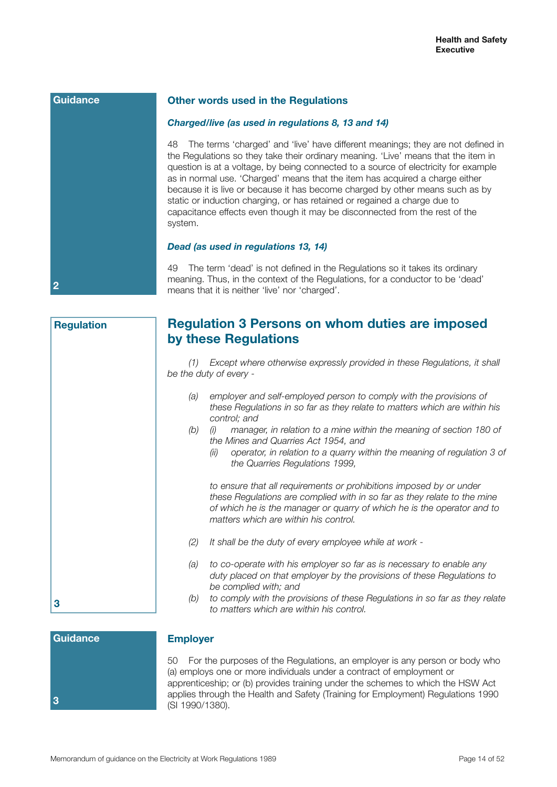**Guidance**

**2**

#### **Other words used in the Regulations**

#### *Charged/live (as used in regulations 8, 13 and 14)*

48 The terms 'charged' and 'live' have different meanings; they are not defined in the Regulations so they take their ordinary meaning. 'Live' means that the item in question is at a voltage, by being connected to a source of electricity for example as in normal use. 'Charged' means that the item has acquired a charge either because it is live or because it has become charged by other means such as by static or induction charging, or has retained or regained a charge due to capacitance effects even though it may be disconnected from the rest of the system.

#### *Dead (as used in regulations 13, 14)*

49 The term 'dead' is not defined in the Regulations so it takes its ordinary meaning. Thus, in the context of the Regulations, for a conductor to be 'dead' means that it is neither 'live' nor 'charged'.

| <b>Regulation</b> | <b>Regulation 3 Persons on whom duties are imposed</b><br>by these Regulations                                                                                                                                                                                      |
|-------------------|---------------------------------------------------------------------------------------------------------------------------------------------------------------------------------------------------------------------------------------------------------------------|
|                   | Except where otherwise expressly provided in these Regulations, it shall<br>(1)<br>be the duty of every -                                                                                                                                                           |
|                   | employer and self-employed person to comply with the provisions of<br>(a)<br>these Regulations in so far as they relate to matters which are within his<br>control; and<br>(b)<br>manager, in relation to a mine within the meaning of section 180 of<br>(i)        |
|                   | the Mines and Quarries Act 1954, and<br>operator, in relation to a quarry within the meaning of regulation 3 of<br>(ii)<br>the Quarries Regulations 1999,                                                                                                           |
|                   | to ensure that all requirements or prohibitions imposed by or under<br>these Regulations are complied with in so far as they relate to the mine<br>of which he is the manager or quarry of which he is the operator and to<br>matters which are within his control. |
|                   | (2)<br>It shall be the duty of every employee while at work -                                                                                                                                                                                                       |
|                   | to co-operate with his employer so far as is necessary to enable any<br>(a)<br>duty placed on that employer by the provisions of these Regulations to<br>be complied with; and                                                                                      |
| 3                 | to comply with the provisions of these Regulations in so far as they relate<br>(b)<br>to matters which are within his control.                                                                                                                                      |

# **Guidance**

**3**

#### **Employer**

50 For the purposes of the Regulations, an employer is any person or body who (a) employs one or more individuals under a contract of employment or apprenticeship; or (b) provides training under the schemes to which the HSW Act applies through the Health and Safety (Training for Employment) Regulations 1990 (SI 1990/1380).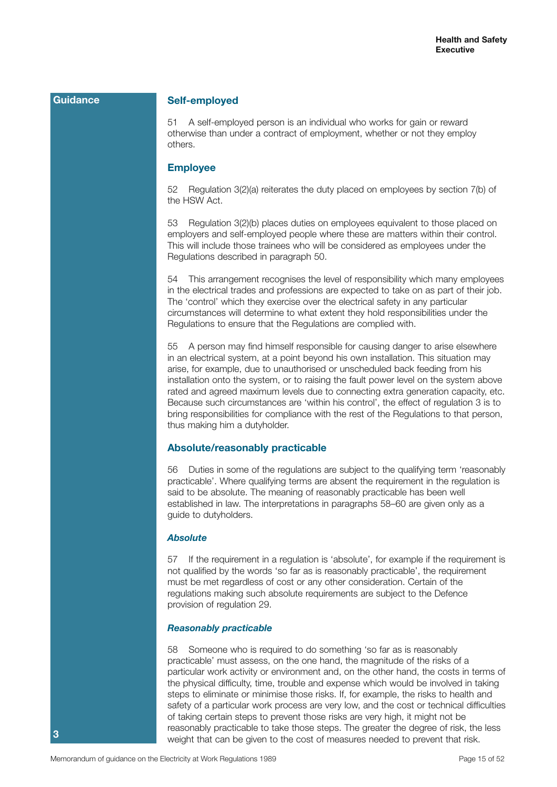#### **Self-employed**

51 A self-employed person is an individual who works for gain or reward otherwise than under a contract of employment, whether or not they employ others.

#### **Employee**

52 Regulation 3(2)(a) reiterates the duty placed on employees by section 7(b) of the HSW Act.

53 Regulation 3(2)(b) places duties on employees equivalent to those placed on employers and self-employed people where these are matters within their control. This will include those trainees who will be considered as employees under the Regulations described in paragraph 50.

54 This arrangement recognises the level of responsibility which many employees in the electrical trades and professions are expected to take on as part of their job. The 'control' which they exercise over the electrical safety in any particular circumstances will determine to what extent they hold responsibilities under the Regulations to ensure that the Regulations are complied with.

55 A person may find himself responsible for causing danger to arise elsewhere in an electrical system, at a point beyond his own installation. This situation may arise, for example, due to unauthorised or unscheduled back feeding from his installation onto the system, or to raising the fault power level on the system above rated and agreed maximum levels due to connecting extra generation capacity, etc. Because such circumstances are 'within his control', the effect of regulation 3 is to bring responsibilities for compliance with the rest of the Regulations to that person, thus making him a dutyholder.

#### **Absolute/reasonably practicable**

56 Duties in some of the regulations are subject to the qualifying term 'reasonably practicable'. Where qualifying terms are absent the requirement in the regulation is said to be absolute. The meaning of reasonably practicable has been well established in law. The interpretations in paragraphs 58–60 are given only as a guide to dutyholders.

#### *Absolute*

57 If the requirement in a regulation is 'absolute', for example if the requirement is not qualified by the words 'so far as is reasonably practicable', the requirement must be met regardless of cost or any other consideration. Certain of the regulations making such absolute requirements are subject to the Defence provision of regulation 29.

#### *Reasonably practicable*

58 Someone who is required to do something 'so far as is reasonably practicable' must assess, on the one hand, the magnitude of the risks of a particular work activity or environment and, on the other hand, the costs in terms of the physical difficulty, time, trouble and expense which would be involved in taking steps to eliminate or minimise those risks. If, for example, the risks to health and safety of a particular work process are very low, and the cost or technical difficulties of taking certain steps to prevent those risks are very high, it might not be reasonably practicable to take those steps. The greater the degree of risk, the less weight that can be given to the cost of measures needed to prevent that risk.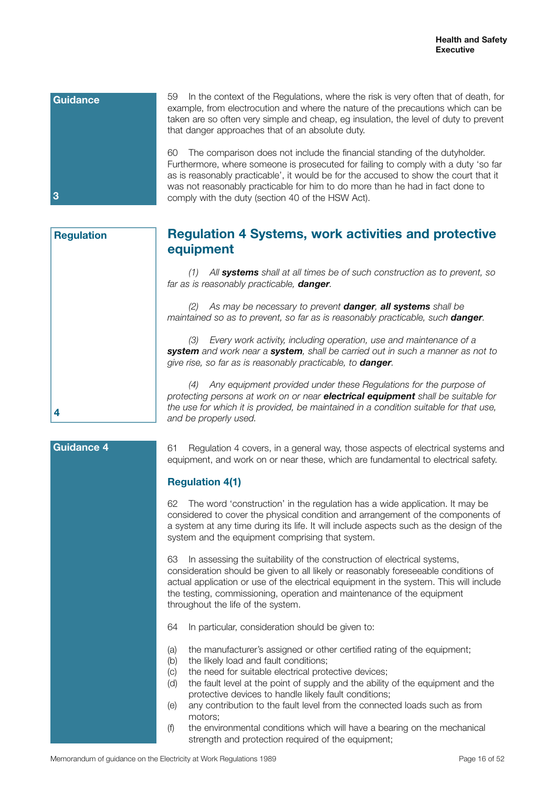

**Regulation**

59 In the context of the Regulations, where the risk is very often that of death, for example, from electrocution and where the nature of the precautions which can be taken are so often very simple and cheap, eg insulation, the level of duty to prevent that danger approaches that of an absolute duty.

60 The comparison does not include the financial standing of the dutyholder. Furthermore, where someone is prosecuted for failing to comply with a duty 'so far as is reasonably practicable', it would be for the accused to show the court that it was not reasonably practicable for him to do more than he had in fact done to comply with the duty (section 40 of the HSW Act).

# **Regulation 4 Systems, work activities and protective equipment**

*(1) All systems shall at all times be of such construction as to prevent, so far as is reasonably practicable, danger.*

*(2) As may be necessary to prevent danger, all systems shall be*  maintained so as to prevent, so far as is reasonably practicable, such **danger**.

*(3) Every work activity, including operation, use and maintenance of a system and work near a system, shall be carried out in such a manner as not to give rise, so far as is reasonably practicable, to danger.*

*(4) Any equipment provided under these Regulations for the purpose of protecting persons at work on or near electrical equipment shall be suitable for the use for which it is provided, be maintained in a condition suitable for that use, and be properly used.*

# **Guidance 4**

**4**

61 Regulation 4 covers, in a general way, those aspects of electrical systems and equipment, and work on or near these, which are fundamental to electrical safety.

# **Regulation 4(1)**

62 The word 'construction' in the regulation has a wide application. It may be considered to cover the physical condition and arrangement of the components of a system at any time during its life. It will include aspects such as the design of the system and the equipment comprising that system.

63 In assessing the suitability of the construction of electrical systems, consideration should be given to all likely or reasonably foreseeable conditions of actual application or use of the electrical equipment in the system. This will include the testing, commissioning, operation and maintenance of the equipment throughout the life of the system.

- 64 In particular, consideration should be given to:
- (a) the manufacturer's assigned or other certified rating of the equipment;
- (b) the likely load and fault conditions;
- (c) the need for suitable electrical protective devices;
- (d) the fault level at the point of supply and the ability of the equipment and the protective devices to handle likely fault conditions;
- (e) any contribution to the fault level from the connected loads such as from motors;
- (f) the environmental conditions which will have a bearing on the mechanical strength and protection required of the equipment;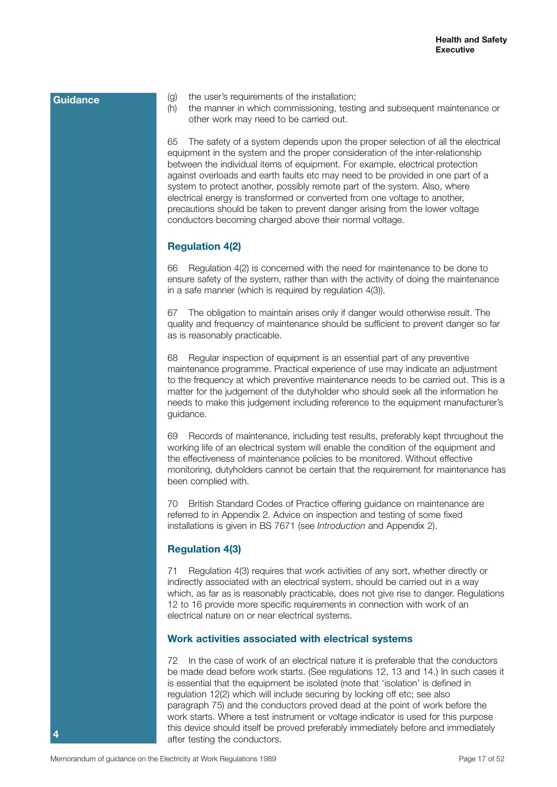- (g) the user's requirements of the installation;
- (h) the manner in which commissioning, testing and subsequent maintenance or other work may need to be carried out.

65 The safety of a system depends upon the proper selection of all the electrical equipment in the system and the proper consideration of the inter-relationship between the individual items of equipment. For example, electrical protection against overloads and earth faults etc may need to be provided in one part of a system to protect another, possibly remote part of the system. Also, where electrical energy is transformed or converted from one voltage to another, precautions should be taken to prevent danger arising from the lower voltage conductors becoming charged above their normal voltage.

# **Regulation 4(2)**

66 Regulation 4(2) is concerned with the need for maintenance to be done to ensure safety of the system, rather than with the activity of doing the maintenance in a safe manner (which is required by regulation 4(3)).

67 The obligation to maintain arises only if danger would otherwise result. The quality and frequency of maintenance should be sufficient to prevent danger so far as is reasonably practicable.

68 Regular inspection of equipment is an essential part of any preventive maintenance programme. Practical experience of use may indicate an adjustment to the frequency at which preventive maintenance needs to be carried out. This is a matter for the judgement of the dutyholder who should seek all the information he needs to make this judgement including reference to the equipment manufacturer's guidance.

69 Records of maintenance, including test results, preferably kept throughout the working life of an electrical system will enable the condition of the equipment and the effectiveness of maintenance policies to be monitored. Without effective monitoring, dutyholders cannot be certain that the requirement for maintenance has been complied with.

70 British Standard Codes of Practice offering guidance on maintenance are referred to in Appendix 2. Advice on inspection and testing of some fixed installations is given in BS 7671 (see *Introduction* and Appendix 2).

# **Regulation 4(3)**

71 Regulation 4(3) requires that work activities of any sort, whether directly or indirectly associated with an electrical system, should be carried out in a way which, as far as is reasonably practicable, does not give rise to danger. Regulations 12 to 16 provide more specific requirements in connection with work of an electrical nature on or near electrical systems.

### **Work activities associated with electrical systems**

72 In the case of work of an electrical nature it is preferable that the conductors be made dead before work starts. (See regulations 12, 13 and 14.) In such cases it is essential that the equipment be isolated (note that 'isolation' is defined in regulation 12(2) which will include securing by locking off etc; see also paragraph 75) and the conductors proved dead at the point of work before the work starts. Where a test instrument or voltage indicator is used for this purpose this device should itself be proved preferably immediately before and immediately after testing the conductors.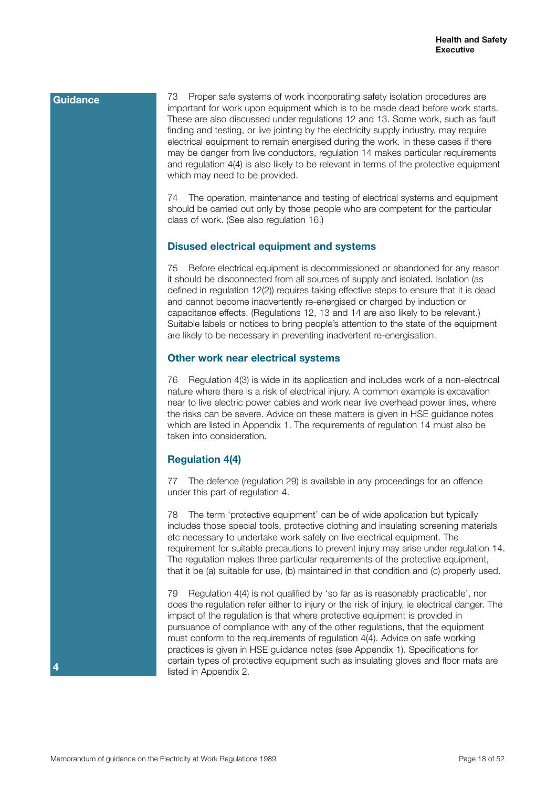Proper safe systems of work incorporating safety isolation procedures are important for work upon equipment which is to be made dead before work starts. These are also discussed under regulations 12 and 13. Some work, such as fault finding and testing, or live jointing by the electricity supply industry, may require electrical equipment to remain energised during the work. In these cases if there may be danger from live conductors, regulation 14 makes particular requirements and regulation 4(4) is also likely to be relevant in terms of the protective equipment which may need to be provided.

74 The operation, maintenance and testing of electrical systems and equipment should be carried out only by those people who are competent for the particular class of work. (See also regulation 16.)

#### **Disused electrical equipment and systems**

75 Before electrical equipment is decommissioned or abandoned for any reason it should be disconnected from all sources of supply and isolated. Isolation (as defined in regulation 12(2)) requires taking effective steps to ensure that it is dead and cannot become inadvertently re-energised or charged by induction or capacitance effects. (Regulations 12, 13 and 14 are also likely to be relevant.) Suitable labels or notices to bring people's attention to the state of the equipment are likely to be necessary in preventing inadvertent re-energisation.

#### **Other work near electrical systems**

76 Regulation 4(3) is wide in its application and includes work of a non-electrical nature where there is a risk of electrical injury. A common example is excavation near to live electric power cables and work near live overhead power lines, where the risks can be severe. Advice on these matters is given in HSE guidance notes which are listed in Appendix 1. The requirements of regulation 14 must also be taken into consideration.

# **Regulation 4(4)**

77 The defence (regulation 29) is available in any proceedings for an offence under this part of regulation 4.

78 The term 'protective equipment' can be of wide application but typically includes those special tools, protective clothing and insulating screening materials etc necessary to undertake work safely on live electrical equipment. The requirement for suitable precautions to prevent injury may arise under regulation 14. The regulation makes three particular requirements of the protective equipment, that it be (a) suitable for use, (b) maintained in that condition and (c) properly used.

79 Regulation 4(4) is not qualified by 'so far as is reasonably practicable', nor does the regulation refer either to injury or the risk of injury, ie electrical danger. The impact of the regulation is that where protective equipment is provided in pursuance of compliance with any of the other regulations, that the equipment must conform to the requirements of regulation 4(4). Advice on safe working practices is given in HSE guidance notes (see Appendix 1). Specifications for certain types of protective equipment such as insulating gloves and floor mats are listed in Appendix 2.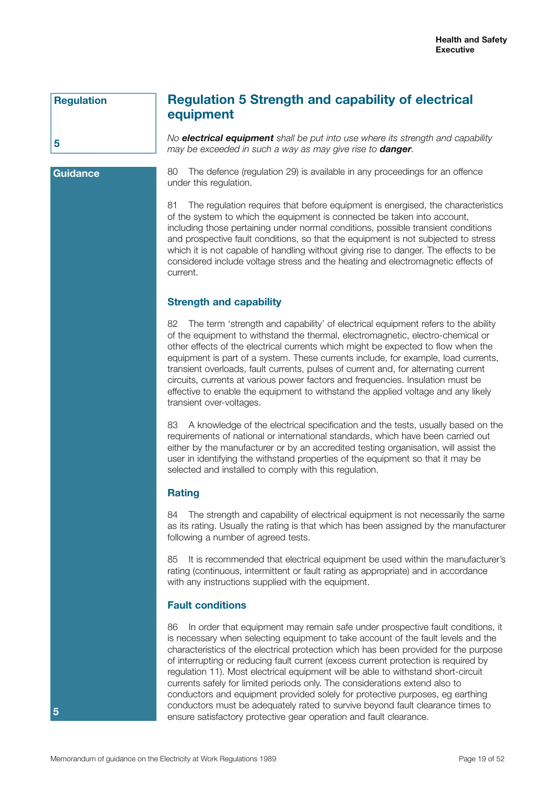# **Regulation**

**Guidance**

**5**

# **Regulation 5 Strength and capability of electrical equipment**

*No electrical equipment shall be put into use where its strength and capability may be exceeded in such a way as may give rise to danger.*

80 The defence (regulation 29) is available in any proceedings for an offence under this regulation.

81 The regulation requires that before equipment is energised, the characteristics of the system to which the equipment is connected be taken into account, including those pertaining under normal conditions, possible transient conditions and prospective fault conditions, so that the equipment is not subjected to stress which it is not capable of handling without giving rise to danger. The effects to be considered include voltage stress and the heating and electromagnetic effects of current.

# **Strength and capability**

82 The term 'strength and capability' of electrical equipment refers to the ability of the equipment to withstand the thermal, electromagnetic, electro-chemical or other effects of the electrical currents which might be expected to flow when the equipment is part of a system. These currents include, for example, load currents, transient overloads, fault currents, pulses of current and, for alternating current circuits, currents at various power factors and frequencies. Insulation must be effective to enable the equipment to withstand the applied voltage and any likely transient over-voltages.

83 A knowledge of the electrical specification and the tests, usually based on the requirements of national or international standards, which have been carried out either by the manufacturer or by an accredited testing organisation, will assist the user in identifying the withstand properties of the equipment so that it may be selected and installed to comply with this regulation.

## **Rating**

84 The strength and capability of electrical equipment is not necessarily the same as its rating. Usually the rating is that which has been assigned by the manufacturer following a number of agreed tests.

85 It is recommended that electrical equipment be used within the manufacturer's rating (continuous, intermittent or fault rating as appropriate) and in accordance with any instructions supplied with the equipment.

# **Fault conditions**

86 In order that equipment may remain safe under prospective fault conditions, it is necessary when selecting equipment to take account of the fault levels and the characteristics of the electrical protection which has been provided for the purpose of interrupting or reducing fault current (excess current protection is required by regulation 11). Most electrical equipment will be able to withstand short-circuit currents safely for limited periods only. The considerations extend also to conductors and equipment provided solely for protective purposes, eg earthing conductors must be adequately rated to survive beyond fault clearance times to ensure satisfactory protective gear operation and fault clearance.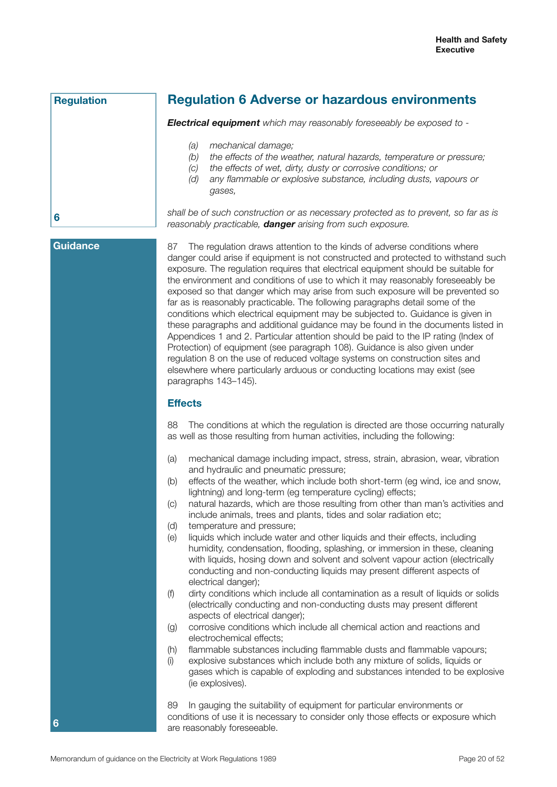**Regulation**

# **Regulation 6 Adverse or hazardous environments**

*Electrical equipment which may reasonably foreseeably be exposed to -*

- *(a) mechanical damage;*
- *(b) the effects of the weather, natural hazards, temperature or pressure;*
- *(c) the effects of wet, dirty, dusty or corrosive conditions; or*
- *(d) any flammable or explosive substance, including dusts, vapours or gases,*

*shall be of such construction or as necessary protected as to prevent, so far as is reasonably practicable, danger arising from such exposure.*

# **Guidance**

**6**

**6**

87 The regulation draws attention to the kinds of adverse conditions where danger could arise if equipment is not constructed and protected to withstand such exposure. The regulation requires that electrical equipment should be suitable for the environment and conditions of use to which it may reasonably foreseeably be exposed so that danger which may arise from such exposure will be prevented so far as is reasonably practicable. The following paragraphs detail some of the conditions which electrical equipment may be subjected to. Guidance is given in these paragraphs and additional guidance may be found in the documents listed in Appendices 1 and 2. Particular attention should be paid to the IP rating (Index of Protection) of equipment (see paragraph 108). Guidance is also given under regulation 8 on the use of reduced voltage systems on construction sites and elsewhere where particularly arduous or conducting locations may exist (see paragraphs 143–145).

# **Effects**

88 The conditions at which the regulation is directed are those occurring naturally as well as those resulting from human activities, including the following:

- (a) mechanical damage including impact, stress, strain, abrasion, wear, vibration and hydraulic and pneumatic pressure;
- (b) effects of the weather, which include both short-term (eg wind, ice and snow, lightning) and long-term (eg temperature cycling) effects;
- (c) natural hazards, which are those resulting from other than man's activities and include animals, trees and plants, tides and solar radiation etc;
- (d) temperature and pressure;
- (e) liquids which include water and other liquids and their effects, including humidity, condensation, flooding, splashing, or immersion in these, cleaning with liquids, hosing down and solvent and solvent vapour action (electrically conducting and non-conducting liquids may present different aspects of electrical danger);
- (f) dirty conditions which include all contamination as a result of liquids or solids (electrically conducting and non-conducting dusts may present different aspects of electrical danger);
- (g) corrosive conditions which include all chemical action and reactions and electrochemical effects;
- (h) flammable substances including flammable dusts and flammable vapours;
- (i) explosive substances which include both any mixture of solids, liquids or gases which is capable of exploding and substances intended to be explosive (ie explosives).

89 In gauging the suitability of equipment for particular environments or conditions of use it is necessary to consider only those effects or exposure which are reasonably foreseeable.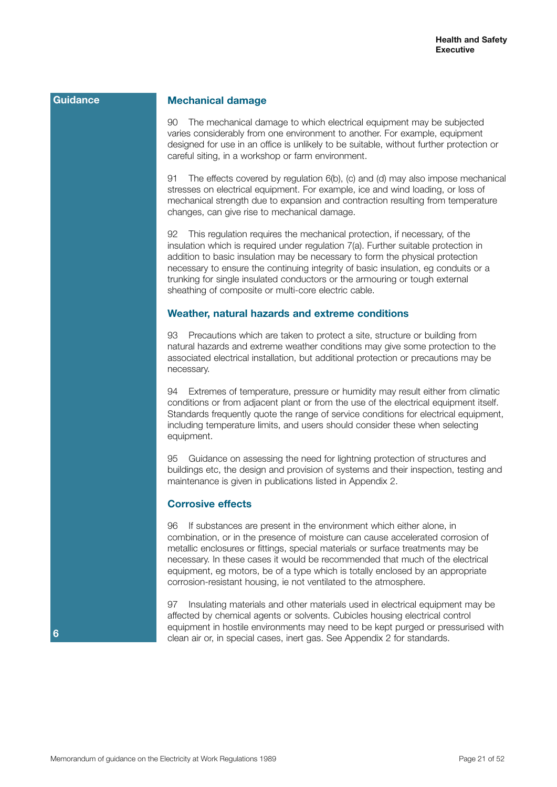#### **Mechanical damage**

90 The mechanical damage to which electrical equipment may be subjected varies considerably from one environment to another. For example, equipment designed for use in an office is unlikely to be suitable, without further protection or careful siting, in a workshop or farm environment.

91 The effects covered by regulation 6(b), (c) and (d) may also impose mechanical stresses on electrical equipment. For example, ice and wind loading, or loss of mechanical strength due to expansion and contraction resulting from temperature changes, can give rise to mechanical damage.

92 This regulation requires the mechanical protection, if necessary, of the insulation which is required under regulation 7(a). Further suitable protection in addition to basic insulation may be necessary to form the physical protection necessary to ensure the continuing integrity of basic insulation, eg conduits or a trunking for single insulated conductors or the armouring or tough external sheathing of composite or multi-core electric cable.

#### **Weather, natural hazards and extreme conditions**

93 Precautions which are taken to protect a site, structure or building from natural hazards and extreme weather conditions may give some protection to the associated electrical installation, but additional protection or precautions may be necessary.

94 Extremes of temperature, pressure or humidity may result either from climatic conditions or from adjacent plant or from the use of the electrical equipment itself. Standards frequently quote the range of service conditions for electrical equipment, including temperature limits, and users should consider these when selecting equipment.

95 Guidance on assessing the need for lightning protection of structures and buildings etc, the design and provision of systems and their inspection, testing and maintenance is given in publications listed in Appendix 2.

#### **Corrosive effects**

96 If substances are present in the environment which either alone, in combination, or in the presence of moisture can cause accelerated corrosion of metallic enclosures or fittings, special materials or surface treatments may be necessary. In these cases it would be recommended that much of the electrical equipment, eg motors, be of a type which is totally enclosed by an appropriate corrosion-resistant housing, ie not ventilated to the atmosphere.

97 Insulating materials and other materials used in electrical equipment may be affected by chemical agents or solvents. Cubicles housing electrical control equipment in hostile environments may need to be kept purged or pressurised with clean air or, in special cases, inert gas. See Appendix 2 for standards.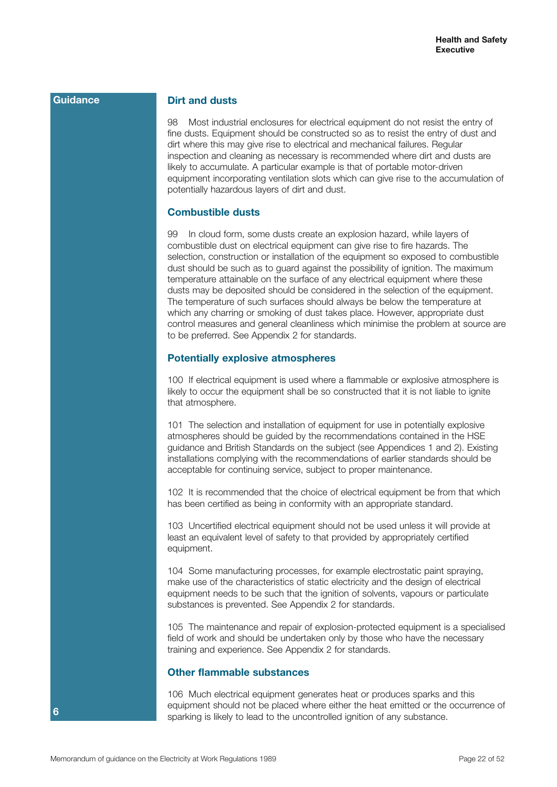## **Dirt and dusts**

98 Most industrial enclosures for electrical equipment do not resist the entry of fine dusts. Equipment should be constructed so as to resist the entry of dust and dirt where this may give rise to electrical and mechanical failures. Regular inspection and cleaning as necessary is recommended where dirt and dusts are likely to accumulate. A particular example is that of portable motor-driven equipment incorporating ventilation slots which can give rise to the accumulation of potentially hazardous layers of dirt and dust.

### **Combustible dusts**

99 In cloud form, some dusts create an explosion hazard, while layers of combustible dust on electrical equipment can give rise to fire hazards. The selection, construction or installation of the equipment so exposed to combustible dust should be such as to guard against the possibility of ignition. The maximum temperature attainable on the surface of any electrical equipment where these dusts may be deposited should be considered in the selection of the equipment. The temperature of such surfaces should always be below the temperature at which any charring or smoking of dust takes place. However, appropriate dust control measures and general cleanliness which minimise the problem at source are to be preferred. See Appendix 2 for standards.

## **Potentially explosive atmospheres**

100 If electrical equipment is used where a flammable or explosive atmosphere is likely to occur the equipment shall be so constructed that it is not liable to ignite that atmosphere.

101 The selection and installation of equipment for use in potentially explosive atmospheres should be guided by the recommendations contained in the HSE guidance and British Standards on the subject (see Appendices 1 and 2). Existing installations complying with the recommendations of earlier standards should be acceptable for continuing service, subject to proper maintenance.

102 It is recommended that the choice of electrical equipment be from that which has been certified as being in conformity with an appropriate standard.

103 Uncertified electrical equipment should not be used unless it will provide at least an equivalent level of safety to that provided by appropriately certified equipment.

104 Some manufacturing processes, for example electrostatic paint spraying, make use of the characteristics of static electricity and the design of electrical equipment needs to be such that the ignition of solvents, vapours or particulate substances is prevented. See Appendix 2 for standards.

105 The maintenance and repair of explosion-protected equipment is a specialised field of work and should be undertaken only by those who have the necessary training and experience. See Appendix 2 for standards.

# **Other flammable substances**

106 Much electrical equipment generates heat or produces sparks and this equipment should not be placed where either the heat emitted or the occurrence of sparking is likely to lead to the uncontrolled ignition of any substance.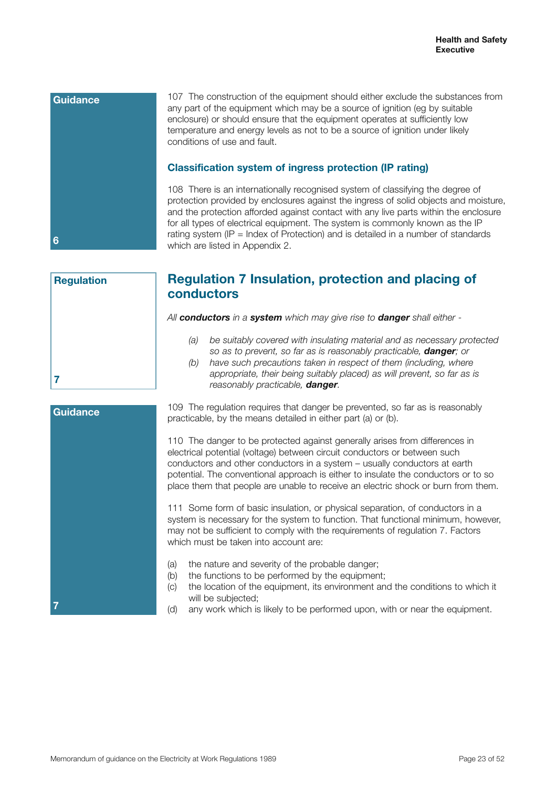

|   | <b>Regulation</b> |  |  |
|---|-------------------|--|--|
|   |                   |  |  |
|   |                   |  |  |
|   |                   |  |  |
|   |                   |  |  |
|   |                   |  |  |
| 7 |                   |  |  |

# **Regulation 7 Insulation, protection and placing of conductors**

*All conductors in a system which may give rise to danger shall either -*

- *(a) be suitably covered with insulating material and as necessary protected so as to prevent, so far as is reasonably practicable, danger; or*
- *(b) have such precautions taken in respect of them (including, where appropriate, their being suitably placed) as will prevent, so far as is reasonably practicable, danger.*

| <b>Guidance</b> | 109 The regulation requires that<br>practicable, by the means detaile                                                                                                              |
|-----------------|------------------------------------------------------------------------------------------------------------------------------------------------------------------------------------|
|                 | 110 The danger to be protected<br>electrical potential (voltage) betwe<br>conductors and other conductors<br>potential. The conventional appro<br>place them that people are unabl |
|                 | 111 Some form of basic insulation<br>system is necessary for the syste<br>may not be sufficient to comply w<br>which must be taken into accoun                                     |
|                 | (a)<br>the nature and severity of th<br>(b)<br>the functions to be performe<br>(c)<br>the location of the equipmer<br>will be subjected;<br>any work which is likely to b<br>(YI)  |
|                 |                                                                                                                                                                                    |

danger be prevented, so far as is reasonably d in either part (a) or (b).

against generally arises from differences in een circuit conductors or between such s in a system – usually conductors at earth pach is either to insulate the conductors or to so le to receive an electric shock or burn from them.

on, or physical separation, of conductors in a em to function. That functional minimum, however, vith the requirements of regulation 7. Factors nt are:

- e probable danger;
- ed by the equipment;
- nt, its environment and the conditions to which it
- any work which is likely to be performed upon, with or near the equipment.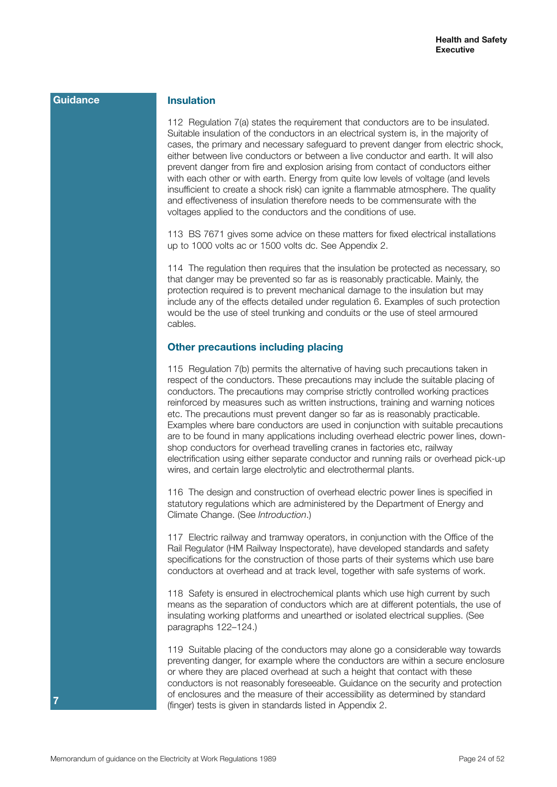### **Insulation**

112 Regulation 7(a) states the requirement that conductors are to be insulated. Suitable insulation of the conductors in an electrical system is, in the majority of cases, the primary and necessary safeguard to prevent danger from electric shock, either between live conductors or between a live conductor and earth. It will also prevent danger from fire and explosion arising from contact of conductors either with each other or with earth. Energy from quite low levels of voltage (and levels insufficient to create a shock risk) can ignite a flammable atmosphere. The quality and effectiveness of insulation therefore needs to be commensurate with the voltages applied to the conductors and the conditions of use.

113 BS 7671 gives some advice on these matters for fixed electrical installations up to 1000 volts ac or 1500 volts dc. See Appendix 2.

114 The regulation then requires that the insulation be protected as necessary, so that danger may be prevented so far as is reasonably practicable. Mainly, the protection required is to prevent mechanical damage to the insulation but may include any of the effects detailed under regulation 6. Examples of such protection would be the use of steel trunking and conduits or the use of steel armoured cables.

# **Other precautions including placing**

115 Regulation 7(b) permits the alternative of having such precautions taken in respect of the conductors. These precautions may include the suitable placing of conductors. The precautions may comprise strictly controlled working practices reinforced by measures such as written instructions, training and warning notices etc. The precautions must prevent danger so far as is reasonably practicable. Examples where bare conductors are used in conjunction with suitable precautions are to be found in many applications including overhead electric power lines, downshop conductors for overhead travelling cranes in factories etc, railway electrification using either separate conductor and running rails or overhead pick-up wires, and certain large electrolytic and electrothermal plants.

116 The design and construction of overhead electric power lines is specified in statutory regulations which are administered by the Department of Energy and Climate Change. (See *Introduction*.)

117 Electric railway and tramway operators, in conjunction with the Office of the Rail Regulator (HM Railway Inspectorate), have developed standards and safety specifications for the construction of those parts of their systems which use bare conductors at overhead and at track level, together with safe systems of work.

118 Safety is ensured in electrochemical plants which use high current by such means as the separation of conductors which are at different potentials, the use of insulating working platforms and unearthed or isolated electrical supplies. (See paragraphs 122–124.)

119 Suitable placing of the conductors may alone go a considerable way towards preventing danger, for example where the conductors are within a secure enclosure or where they are placed overhead at such a height that contact with these conductors is not reasonably foreseeable. Guidance on the security and protection of enclosures and the measure of their accessibility as determined by standard (finger) tests is given in standards listed in Appendix 2.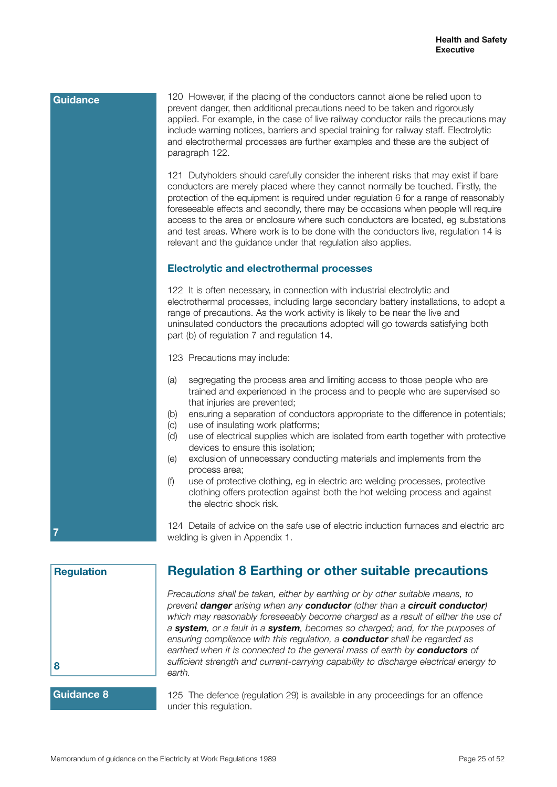# 120 However, if the placing of the conductors cannot alone be relied upon to prevent danger, then additional precautions need to be taken and rigorously applied. For example, in the case of live railway conductor rails the precautions may include warning notices, barriers and special training for railway staff. Electrolytic and electrothermal processes are further examples and these are the subject of paragraph 122. 121 Dutyholders should carefully consider the inherent risks that may exist if bare conductors are merely placed where they cannot normally be touched. Firstly, the protection of the equipment is required under regulation 6 for a range of reasonably foreseeable effects and secondly, there may be occasions when people will require access to the area or enclosure where such conductors are located, eg substations and test areas. Where work is to be done with the conductors live, regulation 14 is relevant and the guidance under that regulation also applies. **Electrolytic and electrothermal processes** 122 It is often necessary, in connection with industrial electrolytic and electrothermal processes, including large secondary battery installations, to adopt a range of precautions. As the work activity is likely to be near the live and uninsulated conductors the precautions adopted will go towards satisfying both part (b) of regulation 7 and regulation 14. 123 Precautions may include: (a) segregating the process area and limiting access to those people who are trained and experienced in the process and to people who are supervised so that injuries are prevented; (b) ensuring a separation of conductors appropriate to the difference in potentials; (c) use of insulating work platforms; (d) use of electrical supplies which are isolated from earth together with protective devices to ensure this isolation; (e) exclusion of unnecessary conducting materials and implements from the process area; (f) use of protective clothing, eg in electric arc welding processes, protective clothing offers protection against both the hot welding process and against the electric shock risk. 124 Details of advice on the safe use of electric induction furnaces and electric arc welding is given in Appendix 1. **Guidance 7**

**Regulation 8**

# **Regulation 8 Earthing or other suitable precautions**

*Precautions shall be taken, either by earthing or by other suitable means, to prevent danger arising when any conductor (other than a circuit conductor) which may reasonably foreseeably become charged as a result of either the use of a system, or a fault in a system, becomes so charged; and, for the purposes of ensuring compliance with this regulation, a conductor shall be regarded as earthed when it is connected to the general mass of earth by conductors of sufficient strength and current-carrying capability to discharge electrical energy to earth.*

# **Guidance 8**

125 The defence (regulation 29) is available in any proceedings for an offence under this regulation.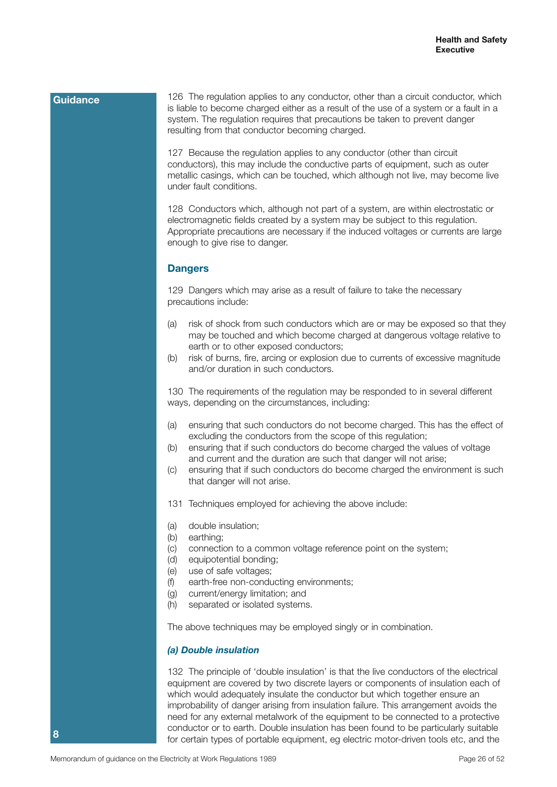126 The regulation applies to any conductor, other than a circuit conductor, which is liable to become charged either as a result of the use of a system or a fault in a system. The regulation requires that precautions be taken to prevent danger resulting from that conductor becoming charged.

127 Because the regulation applies to any conductor (other than circuit conductors), this may include the conductive parts of equipment, such as outer metallic casings, which can be touched, which although not live, may become live under fault conditions.

128 Conductors which, although not part of a system, are within electrostatic or electromagnetic fields created by a system may be subject to this regulation. Appropriate precautions are necessary if the induced voltages or currents are large enough to give rise to danger.

#### **Dangers**

129 Dangers which may arise as a result of failure to take the necessary precautions include:

- (a) risk of shock from such conductors which are or may be exposed so that they may be touched and which become charged at dangerous voltage relative to earth or to other exposed conductors;
- (b) risk of burns, fire, arcing or explosion due to currents of excessive magnitude and/or duration in such conductors.

130 The requirements of the regulation may be responded to in several different ways, depending on the circumstances, including:

- (a) ensuring that such conductors do not become charged. This has the effect of excluding the conductors from the scope of this regulation;
- (b) ensuring that if such conductors do become charged the values of voltage and current and the duration are such that danger will not arise;
- (c) ensuring that if such conductors do become charged the environment is such that danger will not arise.
- 131 Techniques employed for achieving the above include:
- (a) double insulation;
- (b) earthing;
- (c) connection to a common voltage reference point on the system;
- (d) equipotential bonding;
- (e) use of safe voltages;
- (f) earth-free non-conducting environments;
- (g) current/energy limitation; and
- (h) separated or isolated systems.

The above techniques may be employed singly or in combination.

#### *(a) Double insulation*

132 The principle of 'double insulation' is that the live conductors of the electrical equipment are covered by two discrete layers or components of insulation each of which would adequately insulate the conductor but which together ensure an improbability of danger arising from insulation failure. This arrangement avoids the need for any external metalwork of the equipment to be connected to a protective conductor or to earth. Double insulation has been found to be particularly suitable for certain types of portable equipment, eg electric motor-driven tools etc, and the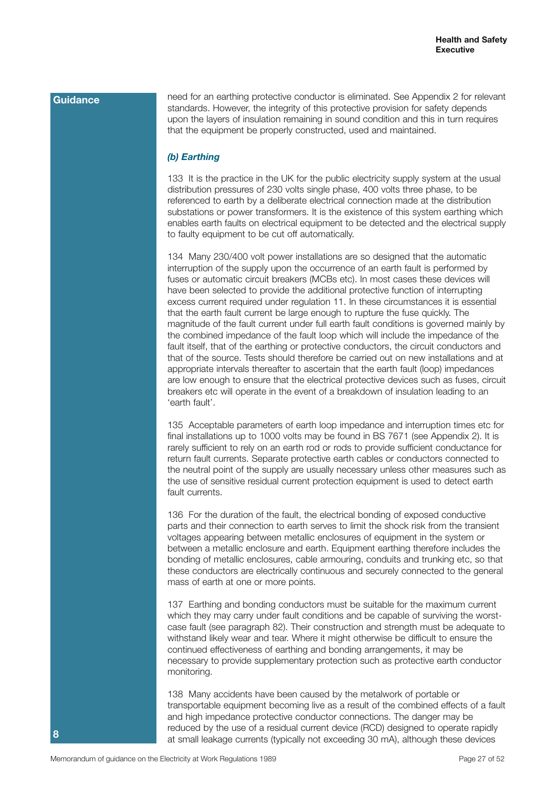need for an earthing protective conductor is eliminated. See Appendix 2 for relevant standards. However, the integrity of this protective provision for safety depends upon the layers of insulation remaining in sound condition and this in turn requires that the equipment be properly constructed, used and maintained.

# *(b) Earthing*

133 It is the practice in the UK for the public electricity supply system at the usual distribution pressures of 230 volts single phase, 400 volts three phase, to be referenced to earth by a deliberate electrical connection made at the distribution substations or power transformers. It is the existence of this system earthing which enables earth faults on electrical equipment to be detected and the electrical supply to faulty equipment to be cut off automatically.

134 Many 230/400 volt power installations are so designed that the automatic interruption of the supply upon the occurrence of an earth fault is performed by fuses or automatic circuit breakers (MCBs etc). In most cases these devices will have been selected to provide the additional protective function of interrupting excess current required under regulation 11. In these circumstances it is essential that the earth fault current be large enough to rupture the fuse quickly. The magnitude of the fault current under full earth fault conditions is governed mainly by the combined impedance of the fault loop which will include the impedance of the fault itself, that of the earthing or protective conductors, the circuit conductors and that of the source. Tests should therefore be carried out on new installations and at appropriate intervals thereafter to ascertain that the earth fault (loop) impedances are low enough to ensure that the electrical protective devices such as fuses, circuit breakers etc will operate in the event of a breakdown of insulation leading to an 'earth fault'.

135 Acceptable parameters of earth loop impedance and interruption times etc for final installations up to 1000 volts may be found in BS 7671 (see Appendix 2). It is rarely sufficient to rely on an earth rod or rods to provide sufficient conductance for return fault currents. Separate protective earth cables or conductors connected to the neutral point of the supply are usually necessary unless other measures such as the use of sensitive residual current protection equipment is used to detect earth fault currents.

136 For the duration of the fault, the electrical bonding of exposed conductive parts and their connection to earth serves to limit the shock risk from the transient voltages appearing between metallic enclosures of equipment in the system or between a metallic enclosure and earth. Equipment earthing therefore includes the bonding of metallic enclosures, cable armouring, conduits and trunking etc, so that these conductors are electrically continuous and securely connected to the general mass of earth at one or more points.

137 Earthing and bonding conductors must be suitable for the maximum current which they may carry under fault conditions and be capable of surviving the worstcase fault (see paragraph 82). Their construction and strength must be adequate to withstand likely wear and tear. Where it might otherwise be difficult to ensure the continued effectiveness of earthing and bonding arrangements, it may be necessary to provide supplementary protection such as protective earth conductor monitoring.

138 Many accidents have been caused by the metalwork of portable or transportable equipment becoming live as a result of the combined effects of a fault and high impedance protective conductor connections. The danger may be reduced by the use of a residual current device (RCD) designed to operate rapidly at small leakage currents (typically not exceeding 30 mA), although these devices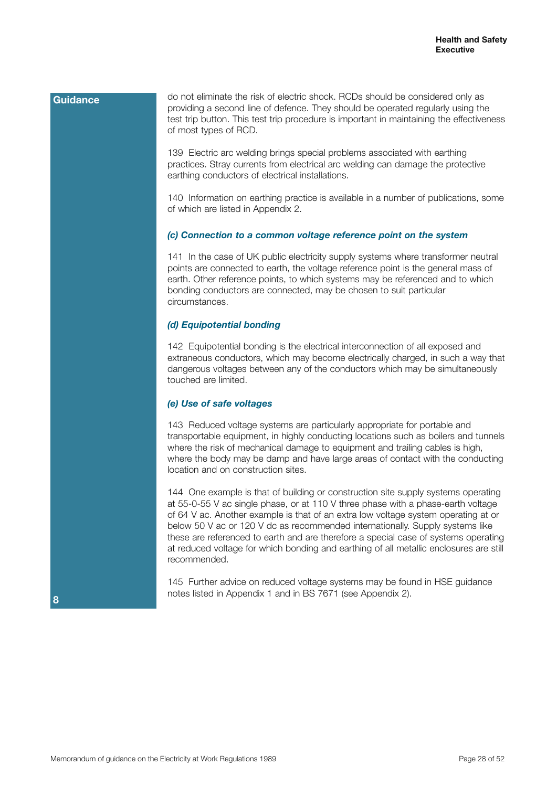do not eliminate the risk of electric shock. RCDs should be considered only as providing a second line of defence. They should be operated regularly using the test trip button. This test trip procedure is important in maintaining the effectiveness of most types of RCD.

139 Electric arc welding brings special problems associated with earthing practices. Stray currents from electrical arc welding can damage the protective earthing conductors of electrical installations.

140 Information on earthing practice is available in a number of publications, some of which are listed in Appendix 2.

#### *(c) Connection to a common voltage reference point on the system*

141 In the case of UK public electricity supply systems where transformer neutral points are connected to earth, the voltage reference point is the general mass of earth. Other reference points, to which systems may be referenced and to which bonding conductors are connected, may be chosen to suit particular circumstances.

#### *(d) Equipotential bonding*

142 Equipotential bonding is the electrical interconnection of all exposed and extraneous conductors, which may become electrically charged, in such a way that dangerous voltages between any of the conductors which may be simultaneously touched are limited.

#### *(e) Use of safe voltages*

143 Reduced voltage systems are particularly appropriate for portable and transportable equipment, in highly conducting locations such as boilers and tunnels where the risk of mechanical damage to equipment and trailing cables is high, where the body may be damp and have large areas of contact with the conducting location and on construction sites.

144 One example is that of building or construction site supply systems operating at 55-0-55 V ac single phase, or at 110 V three phase with a phase-earth voltage of 64 V ac. Another example is that of an extra low voltage system operating at or below 50 V ac or 120 V dc as recommended internationally. Supply systems like these are referenced to earth and are therefore a special case of systems operating at reduced voltage for which bonding and earthing of all metallic enclosures are still recommended.

145 Further advice on reduced voltage systems may be found in HSE guidance notes listed in Appendix 1 and in BS 7671 (see Appendix 2).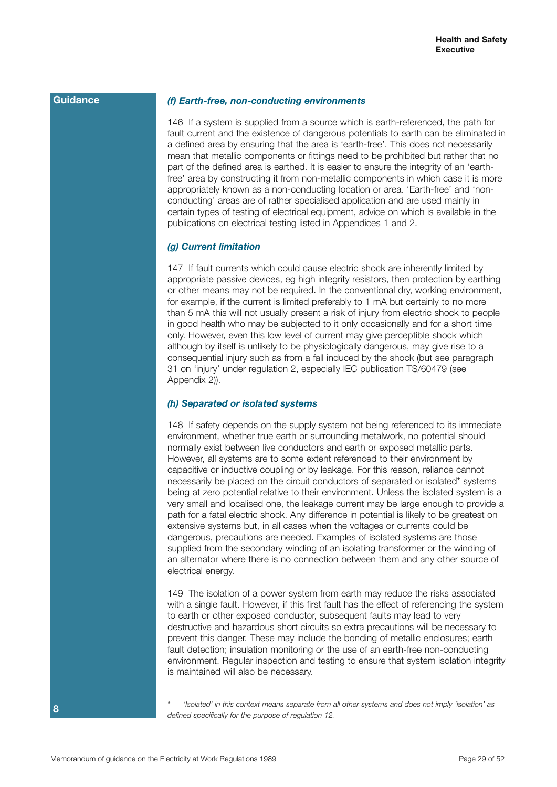#### *(f) Earth-free, non-conducting environments*

146 If a system is supplied from a source which is earth-referenced, the path for fault current and the existence of dangerous potentials to earth can be eliminated in a defined area by ensuring that the area is 'earth-free'. This does not necessarily mean that metallic components or fittings need to be prohibited but rather that no part of the defined area is earthed. It is easier to ensure the integrity of an 'earthfree' area by constructing it from non-metallic components in which case it is more appropriately known as a non-conducting location or area. 'Earth-free' and 'nonconducting' areas are of rather specialised application and are used mainly in certain types of testing of electrical equipment, advice on which is available in the publications on electrical testing listed in Appendices 1 and 2.

#### *(g) Current limitation*

147 If fault currents which could cause electric shock are inherently limited by appropriate passive devices, eg high integrity resistors, then protection by earthing or other means may not be required. In the conventional dry, working environment, for example, if the current is limited preferably to 1 mA but certainly to no more than 5 mA this will not usually present a risk of injury from electric shock to people in good health who may be subjected to it only occasionally and for a short time only. However, even this low level of current may give perceptible shock which although by itself is unlikely to be physiologically dangerous, may give rise to a consequential injury such as from a fall induced by the shock (but see paragraph 31 on 'injury' under regulation 2, especially IEC publication TS/60479 (see Appendix 2)).

#### *(h) Separated or isolated systems*

148 If safety depends on the supply system not being referenced to its immediate environment, whether true earth or surrounding metalwork, no potential should normally exist between live conductors and earth or exposed metallic parts. However, all systems are to some extent referenced to their environment by capacitive or inductive coupling or by leakage. For this reason, reliance cannot necessarily be placed on the circuit conductors of separated or isolated\* systems being at zero potential relative to their environment. Unless the isolated system is a very small and localised one, the leakage current may be large enough to provide a path for a fatal electric shock. Any difference in potential is likely to be greatest on extensive systems but, in all cases when the voltages or currents could be dangerous, precautions are needed. Examples of isolated systems are those supplied from the secondary winding of an isolating transformer or the winding of an alternator where there is no connection between them and any other source of electrical energy.

149 The isolation of a power system from earth may reduce the risks associated with a single fault. However, if this first fault has the effect of referencing the system to earth or other exposed conductor, subsequent faults may lead to very destructive and hazardous short circuits so extra precautions will be necessary to prevent this danger. These may include the bonding of metallic enclosures; earth fault detection; insulation monitoring or the use of an earth-free non-conducting environment. Regular inspection and testing to ensure that system isolation integrity is maintained will also be necessary.

*\* 'Isolated' in this context means separate from all other systems and does not imply 'isolation' as defined specifically for the purpose of regulation 12.*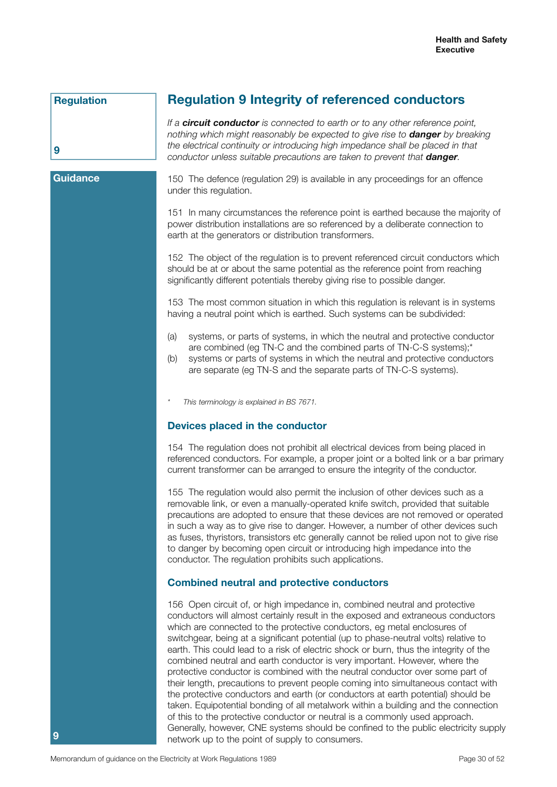### **Regulation**

# **Regulation 9 Integrity of referenced conductors**

*If a circuit conductor is connected to earth or to any other reference point, nothing which might reasonably be expected to give rise to danger by breaking the electrical continuity or introducing high impedance shall be placed in that conductor unless suitable precautions are taken to prevent that danger.* 

# **Guidance**

**9**

150 The defence (regulation 29) is available in any proceedings for an offence under this regulation.

151 In many circumstances the reference point is earthed because the majority of power distribution installations are so referenced by a deliberate connection to earth at the generators or distribution transformers.

152 The object of the regulation is to prevent referenced circuit conductors which should be at or about the same potential as the reference point from reaching significantly different potentials thereby giving rise to possible danger.

153 The most common situation in which this regulation is relevant is in systems having a neutral point which is earthed. Such systems can be subdivided:

- (a) systems, or parts of systems, in which the neutral and protective conductor are combined (eg TN-C and the combined parts of TN-C-S systems);\*
- (b) systems or parts of systems in which the neutral and protective conductors are separate (eg TN-S and the separate parts of TN-C-S systems).

*\* This terminology is explained in BS 7671.*

#### **Devices placed in the conductor**

154 The regulation does not prohibit all electrical devices from being placed in referenced conductors. For example, a proper joint or a bolted link or a bar primary current transformer can be arranged to ensure the integrity of the conductor.

155 The regulation would also permit the inclusion of other devices such as a removable link, or even a manually-operated knife switch, provided that suitable precautions are adopted to ensure that these devices are not removed or operated in such a way as to give rise to danger. However, a number of other devices such as fuses, thyristors, transistors etc generally cannot be relied upon not to give rise to danger by becoming open circuit or introducing high impedance into the conductor. The regulation prohibits such applications.

#### **Combined neutral and protective conductors**

156 Open circuit of, or high impedance in, combined neutral and protective conductors will almost certainly result in the exposed and extraneous conductors which are connected to the protective conductors, eg metal enclosures of switchgear, being at a significant potential (up to phase-neutral volts) relative to earth. This could lead to a risk of electric shock or burn, thus the integrity of the combined neutral and earth conductor is very important. However, where the protective conductor is combined with the neutral conductor over some part of their length, precautions to prevent people coming into simultaneous contact with the protective conductors and earth (or conductors at earth potential) should be taken. Equipotential bonding of all metalwork within a building and the connection of this to the protective conductor or neutral is a commonly used approach. Generally, however, CNE systems should be confined to the public electricity supply network up to the point of supply to consumers.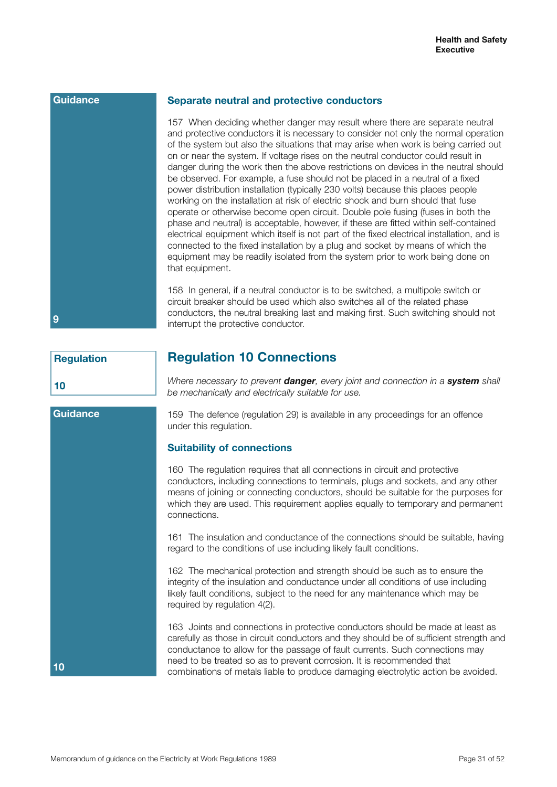#### **Separate neutral and protective conductors**

157 When deciding whether danger may result where there are separate neutral and protective conductors it is necessary to consider not only the normal operation of the system but also the situations that may arise when work is being carried out on or near the system. If voltage rises on the neutral conductor could result in danger during the work then the above restrictions on devices in the neutral should be observed. For example, a fuse should not be placed in a neutral of a fixed power distribution installation (typically 230 volts) because this places people working on the installation at risk of electric shock and burn should that fuse operate or otherwise become open circuit. Double pole fusing (fuses in both the phase and neutral) is acceptable, however, if these are fitted within self-contained electrical equipment which itself is not part of the fixed electrical installation, and is connected to the fixed installation by a plug and socket by means of which the equipment may be readily isolated from the system prior to work being done on that equipment.

158 In general, if a neutral conductor is to be switched, a multipole switch or circuit breaker should be used which also switches all of the related phase conductors, the neutral breaking last and making first. Such switching should not interrupt the protective conductor.

# **Regulation**

**Guidance**

**10**

**10**

**9**

# **Regulation 10 Connections**

*Where necessary to prevent danger, every joint and connection in a system shall be mechanically and electrically suitable for use.*

159 The defence (regulation 29) is available in any proceedings for an offence under this regulation.

## **Suitability of connections**

160 The regulation requires that all connections in circuit and protective conductors, including connections to terminals, plugs and sockets, and any other means of joining or connecting conductors, should be suitable for the purposes for which they are used. This requirement applies equally to temporary and permanent connections.

161 The insulation and conductance of the connections should be suitable, having regard to the conditions of use including likely fault conditions.

162 The mechanical protection and strength should be such as to ensure the integrity of the insulation and conductance under all conditions of use including likely fault conditions, subject to the need for any maintenance which may be required by regulation 4(2).

163 Joints and connections in protective conductors should be made at least as carefully as those in circuit conductors and they should be of sufficient strength and conductance to allow for the passage of fault currents. Such connections may need to be treated so as to prevent corrosion. It is recommended that combinations of metals liable to produce damaging electrolytic action be avoided.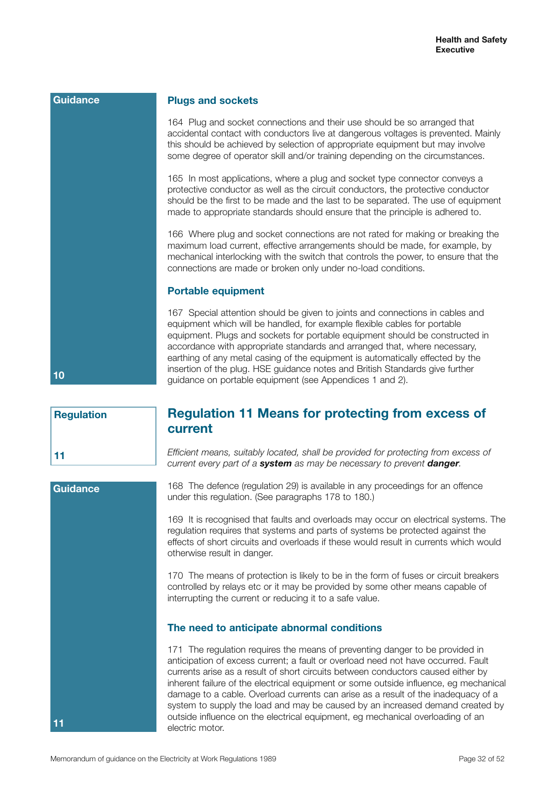| Guidance | <b>Plugs and sockets</b>                                                                                                                                                                                                                                                                                                                                                                                                                                                                                                                              |
|----------|-------------------------------------------------------------------------------------------------------------------------------------------------------------------------------------------------------------------------------------------------------------------------------------------------------------------------------------------------------------------------------------------------------------------------------------------------------------------------------------------------------------------------------------------------------|
|          | 164 Plug and socket connections and their use should be so arranged that<br>accidental contact with conductors live at dangerous voltages is prevented. Mainly<br>this should be achieved by selection of appropriate equipment but may involve<br>some degree of operator skill and/or training depending on the circumstances.                                                                                                                                                                                                                      |
|          | 165 In most applications, where a plug and socket type connector conveys a<br>protective conductor as well as the circuit conductors, the protective conductor<br>should be the first to be made and the last to be separated. The use of equipment<br>made to appropriate standards should ensure that the principle is adhered to.                                                                                                                                                                                                                  |
|          | 166 Where plug and socket connections are not rated for making or breaking the<br>maximum load current, effective arrangements should be made, for example, by<br>mechanical interlocking with the switch that controls the power, to ensure that the<br>connections are made or broken only under no-load conditions.                                                                                                                                                                                                                                |
|          | <b>Portable equipment</b>                                                                                                                                                                                                                                                                                                                                                                                                                                                                                                                             |
| 10       | 167 Special attention should be given to joints and connections in cables and<br>equipment which will be handled, for example flexible cables for portable<br>equipment. Plugs and sockets for portable equipment should be constructed in<br>accordance with appropriate standards and arranged that, where necessary,<br>earthing of any metal casing of the equipment is automatically effected by the<br>insertion of the plug. HSE guidance notes and British Standards give further<br>guidance on portable equipment (see Appendices 1 and 2). |

**Regulation 11**

**Guidance**

**11**

# **Regulation 11 Means for protecting from excess of current**

*Efficient means, suitably located, shall be provided for protecting from excess of current every part of a system as may be necessary to prevent danger.*

168 The defence (regulation 29) is available in any proceedings for an offence under this regulation. (See paragraphs 178 to 180.)

169 It is recognised that faults and overloads may occur on electrical systems. The regulation requires that systems and parts of systems be protected against the effects of short circuits and overloads if these would result in currents which would otherwise result in danger.

170 The means of protection is likely to be in the form of fuses or circuit breakers controlled by relays etc or it may be provided by some other means capable of interrupting the current or reducing it to a safe value.

## **The need to anticipate abnormal conditions**

171 The regulation requires the means of preventing danger to be provided in anticipation of excess current; a fault or overload need not have occurred. Fault currents arise as a result of short circuits between conductors caused either by inherent failure of the electrical equipment or some outside influence, eg mechanical damage to a cable. Overload currents can arise as a result of the inadequacy of a system to supply the load and may be caused by an increased demand created by outside influence on the electrical equipment, eg mechanical overloading of an electric motor.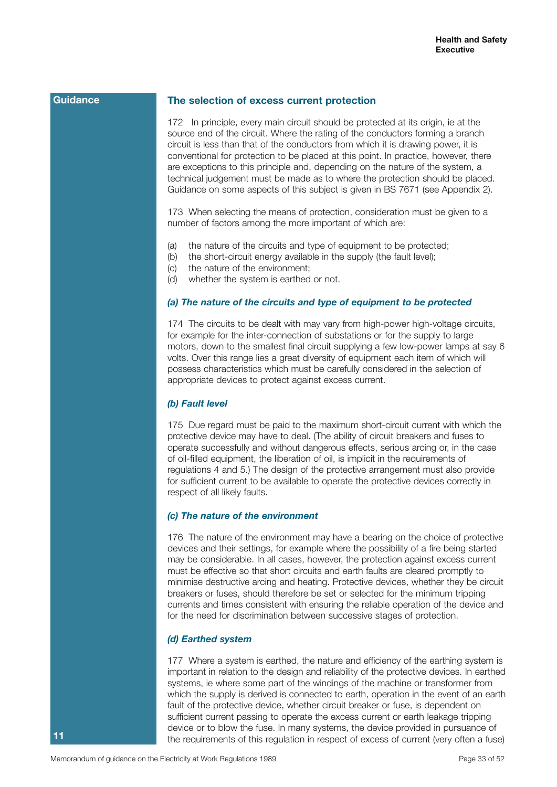### **The selection of excess current protection**

172 In principle, every main circuit should be protected at its origin, ie at the source end of the circuit. Where the rating of the conductors forming a branch circuit is less than that of the conductors from which it is drawing power, it is conventional for protection to be placed at this point. In practice, however, there are exceptions to this principle and, depending on the nature of the system, a technical judgement must be made as to where the protection should be placed. Guidance on some aspects of this subject is given in BS 7671 (see Appendix 2).

173 When selecting the means of protection, consideration must be given to a number of factors among the more important of which are:

- (a) the nature of the circuits and type of equipment to be protected;
- (b) the short-circuit energy available in the supply (the fault level);
- (c) the nature of the environment;
- (d) whether the system is earthed or not.

# *(a) The nature of the circuits and type of equipment to be protected*

174 The circuits to be dealt with may vary from high-power high-voltage circuits, for example for the inter-connection of substations or for the supply to large motors, down to the smallest final circuit supplying a few low-power lamps at say 6 volts. Over this range lies a great diversity of equipment each item of which will possess characteristics which must be carefully considered in the selection of appropriate devices to protect against excess current.

#### *(b) Fault level*

175 Due regard must be paid to the maximum short-circuit current with which the protective device may have to deal. (The ability of circuit breakers and fuses to operate successfully and without dangerous effects, serious arcing or, in the case of oil-filled equipment, the liberation of oil, is implicit in the requirements of regulations 4 and 5.) The design of the protective arrangement must also provide for sufficient current to be available to operate the protective devices correctly in respect of all likely faults.

#### *(c) The nature of the environment*

176 The nature of the environment may have a bearing on the choice of protective devices and their settings, for example where the possibility of a fire being started may be considerable. In all cases, however, the protection against excess current must be effective so that short circuits and earth faults are cleared promptly to minimise destructive arcing and heating. Protective devices, whether they be circuit breakers or fuses, should therefore be set or selected for the minimum tripping currents and times consistent with ensuring the reliable operation of the device and for the need for discrimination between successive stages of protection.

#### *(d) Earthed system*

177 Where a system is earthed, the nature and efficiency of the earthing system is important in relation to the design and reliability of the protective devices. In earthed systems, ie where some part of the windings of the machine or transformer from which the supply is derived is connected to earth, operation in the event of an earth fault of the protective device, whether circuit breaker or fuse, is dependent on sufficient current passing to operate the excess current or earth leakage tripping device or to blow the fuse. In many systems, the device provided in pursuance of the requirements of this regulation in respect of excess of current (very often a fuse)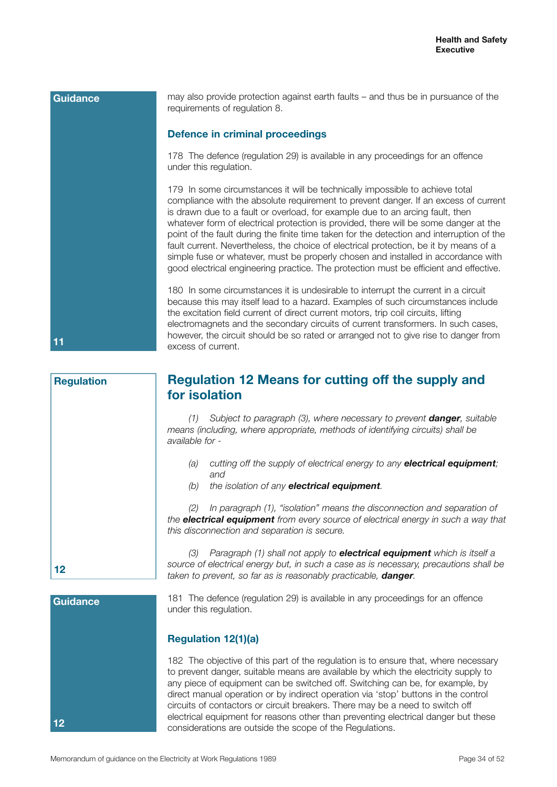may also provide protection against earth faults – and thus be in pursuance of the requirements of regulation 8. **Defence in criminal proceedings** 178 The defence (regulation 29) is available in any proceedings for an offence under this regulation. 179 In some circumstances it will be technically impossible to achieve total compliance with the absolute requirement to prevent danger. If an excess of current is drawn due to a fault or overload, for example due to an arcing fault, then whatever form of electrical protection is provided, there will be some danger at the point of the fault during the finite time taken for the detection and interruption of the fault current. Nevertheless, the choice of electrical protection, be it by means of a simple fuse or whatever, must be properly chosen and installed in accordance with good electrical engineering practice. The protection must be efficient and effective. 180 In some circumstances it is undesirable to interrupt the current in a circuit because this may itself lead to a hazard. Examples of such circumstances include the excitation field current of direct current motors, trip coil circuits, lifting electromagnets and the secondary circuits of current transformers. In such cases, however, the circuit should be so rated or arranged not to give rise to danger from excess of current. **Guidance 11**

# **Regulation 12 Means for cutting off the supply and for isolation**

*(1) Subject to paragraph (3), where necessary to prevent danger, suitable means (including, where appropriate, methods of identifying circuits) shall be available for -*

- *(a) cutting off the supply of electrical energy to any electrical equipment; and*
- *(b) the isolation of any electrical equipment.*

*(2) In paragraph (1), "isolation" means the disconnection and separation of the electrical equipment from every source of electrical energy in such a way that this disconnection and separation is secure.*

*(3) Paragraph (1) shall not apply to electrical equipment which is itself a source of electrical energy but, in such a case as is necessary, precautions shall be taken to prevent, so far as is reasonably practicable, danger.*

181 The defence (regulation 29) is available in any proceedings for an offence under this regulation.

# **Regulation 12(1)(a)**

182 The objective of this part of the regulation is to ensure that, where necessary to prevent danger, suitable means are available by which the electricity supply to any piece of equipment can be switched off. Switching can be, for example, by direct manual operation or by indirect operation via 'stop' buttons in the control circuits of contactors or circuit breakers. There may be a need to switch off electrical equipment for reasons other than preventing electrical danger but these considerations are outside the scope of the Regulations.

**Regulation**

**12**

**12**

**Guidance**

Memorandum of guidance on the Electricity at Work Regulations 1989 **Page 34 of 52** Page 34 of 52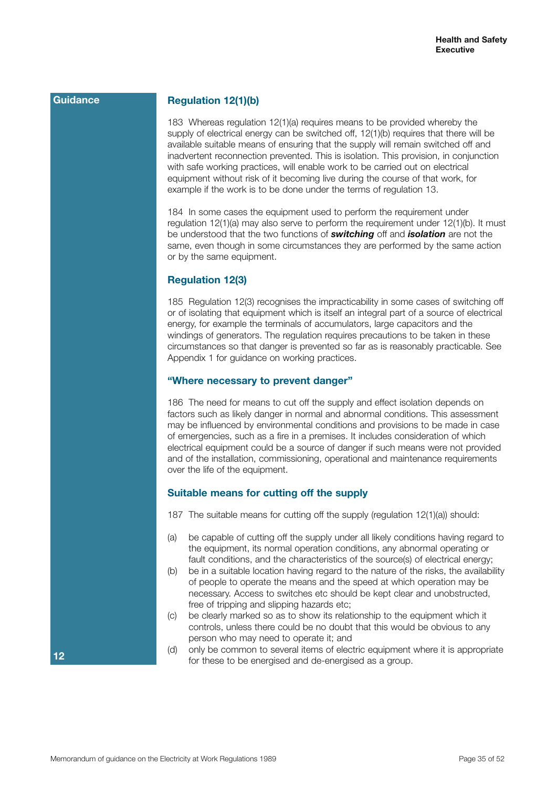# **Regulation 12(1)(b)**

183 Whereas regulation 12(1)(a) requires means to be provided whereby the supply of electrical energy can be switched off, 12(1)(b) requires that there will be available suitable means of ensuring that the supply will remain switched off and inadvertent reconnection prevented. This is isolation. This provision, in conjunction with safe working practices, will enable work to be carried out on electrical equipment without risk of it becoming live during the course of that work, for example if the work is to be done under the terms of regulation 13.

184 In some cases the equipment used to perform the requirement under regulation 12(1)(a) may also serve to perform the requirement under 12(1)(b). It must be understood that the two functions of *switching* off and *isolation* are not the same, even though in some circumstances they are performed by the same action or by the same equipment.

#### **Regulation 12(3)**

185 Regulation 12(3) recognises the impracticability in some cases of switching off or of isolating that equipment which is itself an integral part of a source of electrical energy, for example the terminals of accumulators, large capacitors and the windings of generators. The regulation requires precautions to be taken in these circumstances so that danger is prevented so far as is reasonably practicable. See Appendix 1 for guidance on working practices.

#### **"Where necessary to prevent danger"**

186 The need for means to cut off the supply and effect isolation depends on factors such as likely danger in normal and abnormal conditions. This assessment may be influenced by environmental conditions and provisions to be made in case of emergencies, such as a fire in a premises. It includes consideration of which electrical equipment could be a source of danger if such means were not provided and of the installation, commissioning, operational and maintenance requirements over the life of the equipment.

#### **Suitable means for cutting off the supply**

- 187 The suitable means for cutting off the supply (regulation 12(1)(a)) should:
- (a) be capable of cutting off the supply under all likely conditions having regard to the equipment, its normal operation conditions, any abnormal operating or fault conditions, and the characteristics of the source(s) of electrical energy;
- (b) be in a suitable location having regard to the nature of the risks, the availability of people to operate the means and the speed at which operation may be necessary. Access to switches etc should be kept clear and unobstructed, free of tripping and slipping hazards etc;
- (c) be clearly marked so as to show its relationship to the equipment which it controls, unless there could be no doubt that this would be obvious to any person who may need to operate it; and
- (d) only be common to several items of electric equipment where it is appropriate for these to be energised and de-energised as a group.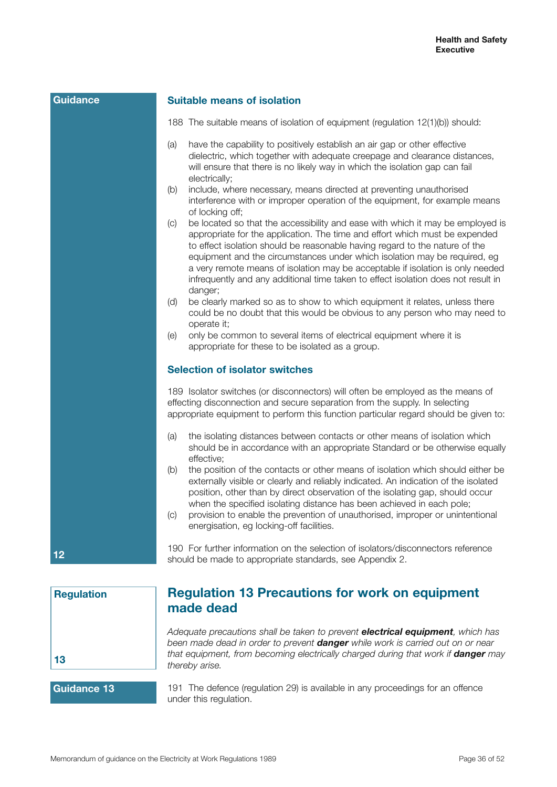#### **Suitable means of isolation**

- 188 The suitable means of isolation of equipment (regulation 12(1)(b)) should:
- (a) have the capability to positively establish an air gap or other effective dielectric, which together with adequate creepage and clearance distances, will ensure that there is no likely way in which the isolation gap can fail electrically;
- (b) include, where necessary, means directed at preventing unauthorised interference with or improper operation of the equipment, for example means of locking off;
- (c) be located so that the accessibility and ease with which it may be employed is appropriate for the application. The time and effort which must be expended to effect isolation should be reasonable having regard to the nature of the equipment and the circumstances under which isolation may be required, eg a very remote means of isolation may be acceptable if isolation is only needed infrequently and any additional time taken to effect isolation does not result in danger;
- (d) be clearly marked so as to show to which equipment it relates, unless there could be no doubt that this would be obvious to any person who may need to operate it;
- (e) only be common to several items of electrical equipment where it is appropriate for these to be isolated as a group.

#### **Selection of isolator switches**

189 Isolator switches (or disconnectors) will often be employed as the means of effecting disconnection and secure separation from the supply. In selecting appropriate equipment to perform this function particular regard should be given to:

- (a) the isolating distances between contacts or other means of isolation which should be in accordance with an appropriate Standard or be otherwise equally effective;
- (b) the position of the contacts or other means of isolation which should either be externally visible or clearly and reliably indicated. An indication of the isolated position, other than by direct observation of the isolating gap, should occur when the specified isolating distance has been achieved in each pole:
- (c) provision to enable the prevention of unauthorised, improper or unintentional energisation, eg locking-off facilities.

190 For further information on the selection of isolators/disconnectors reference should be made to appropriate standards, see Appendix 2.



**12**

**Guidance**

# **Regulation 13 Precautions for work on equipment made dead**

*Adequate precautions shall be taken to prevent electrical equipment, which has been made dead in order to prevent danger while work is carried out on or near that equipment, from becoming electrically charged during that work if danger may thereby arise.*

# **Guidance 13**

191 The defence (regulation 29) is available in any proceedings for an offence under this regulation.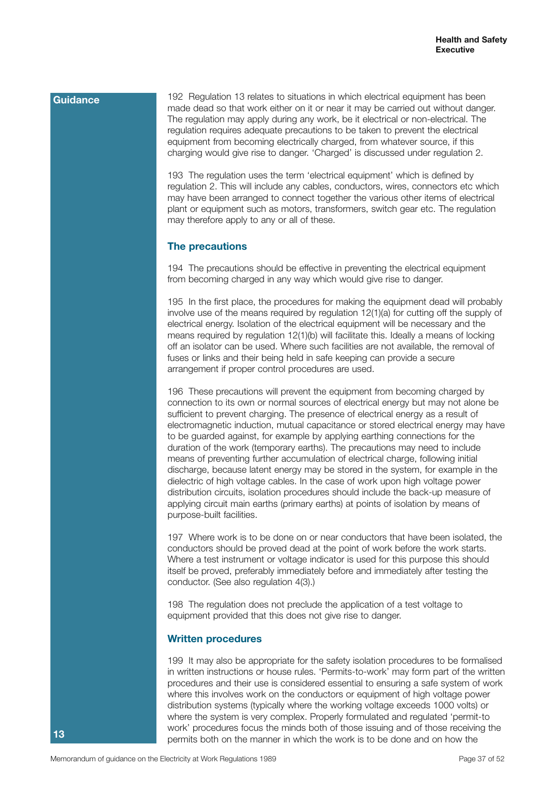192 Regulation 13 relates to situations in which electrical equipment has been made dead so that work either on it or near it may be carried out without danger. The regulation may apply during any work, be it electrical or non-electrical. The regulation requires adequate precautions to be taken to prevent the electrical equipment from becoming electrically charged, from whatever source, if this charging would give rise to danger. 'Charged' is discussed under regulation 2.

193 The regulation uses the term 'electrical equipment' which is defined by regulation 2. This will include any cables, conductors, wires, connectors etc which may have been arranged to connect together the various other items of electrical plant or equipment such as motors, transformers, switch gear etc. The regulation may therefore apply to any or all of these.

# **The precautions**

194 The precautions should be effective in preventing the electrical equipment from becoming charged in any way which would give rise to danger.

195 In the first place, the procedures for making the equipment dead will probably involve use of the means required by regulation 12(1)(a) for cutting off the supply of electrical energy. Isolation of the electrical equipment will be necessary and the means required by regulation 12(1)(b) will facilitate this. Ideally a means of locking off an isolator can be used. Where such facilities are not available, the removal of fuses or links and their being held in safe keeping can provide a secure arrangement if proper control procedures are used.

196 These precautions will prevent the equipment from becoming charged by connection to its own or normal sources of electrical energy but may not alone be sufficient to prevent charging. The presence of electrical energy as a result of electromagnetic induction, mutual capacitance or stored electrical energy may have to be guarded against, for example by applying earthing connections for the duration of the work (temporary earths). The precautions may need to include means of preventing further accumulation of electrical charge, following initial discharge, because latent energy may be stored in the system, for example in the dielectric of high voltage cables. In the case of work upon high voltage power distribution circuits, isolation procedures should include the back-up measure of applying circuit main earths (primary earths) at points of isolation by means of purpose-built facilities.

197 Where work is to be done on or near conductors that have been isolated, the conductors should be proved dead at the point of work before the work starts. Where a test instrument or voltage indicator is used for this purpose this should itself be proved, preferably immediately before and immediately after testing the conductor. (See also regulation 4(3).)

198 The regulation does not preclude the application of a test voltage to equipment provided that this does not give rise to danger.

#### **Written procedures**

199 It may also be appropriate for the safety isolation procedures to be formalised in written instructions or house rules. 'Permits-to-work' may form part of the written procedures and their use is considered essential to ensuring a safe system of work where this involves work on the conductors or equipment of high voltage power distribution systems (typically where the working voltage exceeds 1000 volts) or where the system is very complex. Properly formulated and regulated 'permit-to work' procedures focus the minds both of those issuing and of those receiving the permits both on the manner in which the work is to be done and on how the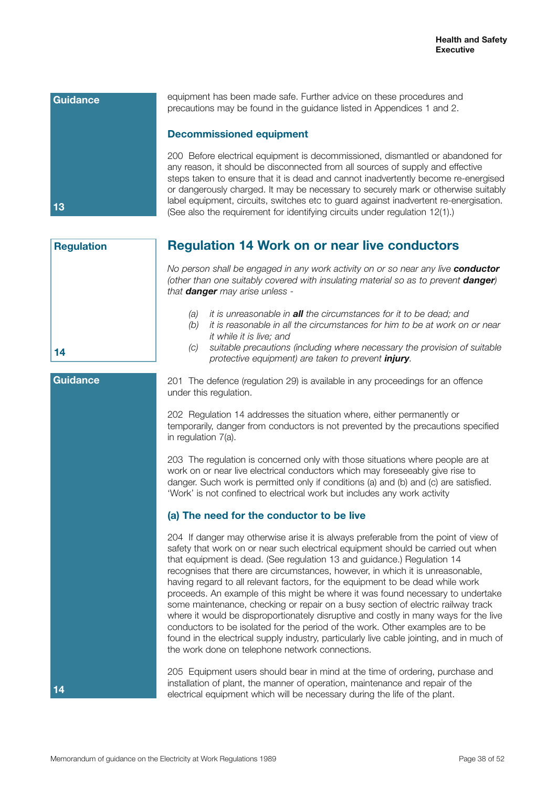

equipment has been made safe. Further advice on these procedures and precautions may be found in the guidance listed in Appendices 1 and 2.

### **Decommissioned equipment**

200 Before electrical equipment is decommissioned, dismantled or abandoned for any reason, it should be disconnected from all sources of supply and effective steps taken to ensure that it is dead and cannot inadvertently become re-energised or dangerously charged. It may be necessary to securely mark or otherwise suitably label equipment, circuits, switches etc to guard against inadvertent re-energisation. (See also the requirement for identifying circuits under regulation 12(1).)

# **Regulation 14 Work on or near live conductors**

*No person shall be engaged in any work activity on or so near any live conductor (other than one suitably covered with insulating material so as to prevent danger) that danger may arise unless -*

- *(a) it is unreasonable in all the circumstances for it to be dead; and*
- *(b) it is reasonable in all the circumstances for him to be at work on or near it while it is live; and*
- *(c) suitable precautions (including where necessary the provision of suitable protective equipment) are taken to prevent injury.*

201 The defence (regulation 29) is available in any proceedings for an offence under this regulation.

202 Regulation 14 addresses the situation where, either permanently or temporarily, danger from conductors is not prevented by the precautions specified in regulation 7(a).

203 The regulation is concerned only with those situations where people are at work on or near live electrical conductors which may foreseeably give rise to danger. Such work is permitted only if conditions (a) and (b) and (c) are satisfied. 'Work' is not confined to electrical work but includes any work activity

# **(a) The need for the conductor to be live**

204 If danger may otherwise arise it is always preferable from the point of view of safety that work on or near such electrical equipment should be carried out when that equipment is dead. (See regulation 13 and guidance.) Regulation 14 recognises that there are circumstances, however, in which it is unreasonable, having regard to all relevant factors, for the equipment to be dead while work proceeds. An example of this might be where it was found necessary to undertake some maintenance, checking or repair on a busy section of electric railway track where it would be disproportionately disruptive and costly in many ways for the live conductors to be isolated for the period of the work. Other examples are to be found in the electrical supply industry, particularly live cable jointing, and in much of the work done on telephone network connections.

205 Equipment users should bear in mind at the time of ordering, purchase and installation of plant, the manner of operation, maintenance and repair of the electrical equipment which will be necessary during the life of the plant.

**14**

**14**

#### **Guidance**

**Regulation**

Memorandum of guidance on the Electricity at Work Regulations 1989 **Page 38 of 52** Page 38 of 52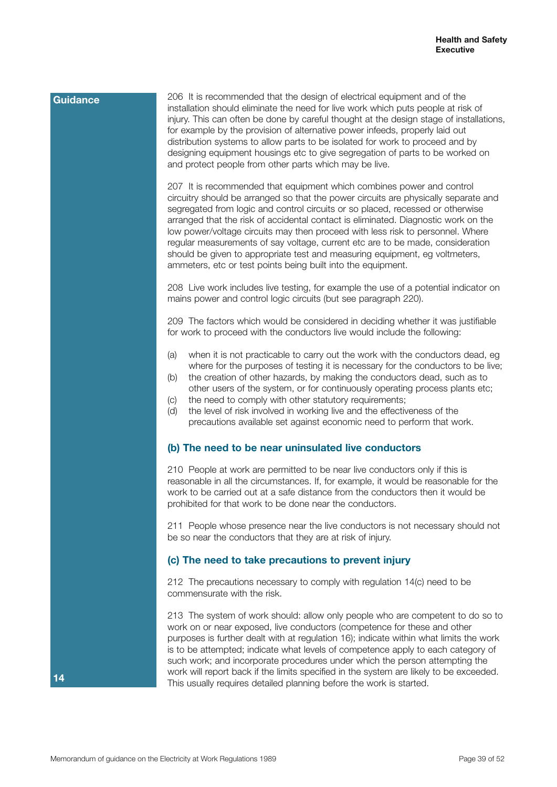206 It is recommended that the design of electrical equipment and of the installation should eliminate the need for live work which puts people at risk of injury. This can often be done by careful thought at the design stage of installations, for example by the provision of alternative power infeeds, properly laid out distribution systems to allow parts to be isolated for work to proceed and by designing equipment housings etc to give segregation of parts to be worked on and protect people from other parts which may be live.

207 It is recommended that equipment which combines power and control circuitry should be arranged so that the power circuits are physically separate and segregated from logic and control circuits or so placed, recessed or otherwise arranged that the risk of accidental contact is eliminated. Diagnostic work on the low power/voltage circuits may then proceed with less risk to personnel. Where regular measurements of say voltage, current etc are to be made, consideration should be given to appropriate test and measuring equipment, eg voltmeters, ammeters, etc or test points being built into the equipment.

208 Live work includes live testing, for example the use of a potential indicator on mains power and control logic circuits (but see paragraph 220).

209 The factors which would be considered in deciding whether it was justifiable for work to proceed with the conductors live would include the following:

- (a) when it is not practicable to carry out the work with the conductors dead, eg where for the purposes of testing it is necessary for the conductors to be live;
- (b) the creation of other hazards, by making the conductors dead, such as to other users of the system, or for continuously operating process plants etc;
- (c) the need to comply with other statutory requirements;
- (d) the level of risk involved in working live and the effectiveness of the precautions available set against economic need to perform that work.

#### **(b) The need to be near uninsulated live conductors**

210 People at work are permitted to be near live conductors only if this is reasonable in all the circumstances. If, for example, it would be reasonable for the work to be carried out at a safe distance from the conductors then it would be prohibited for that work to be done near the conductors.

211 People whose presence near the live conductors is not necessary should not be so near the conductors that they are at risk of injury.

#### **(c) The need to take precautions to prevent injury**

212 The precautions necessary to comply with regulation 14(c) need to be commensurate with the risk.

213 The system of work should: allow only people who are competent to do so to work on or near exposed, live conductors (competence for these and other purposes is further dealt with at regulation 16); indicate within what limits the work is to be attempted; indicate what levels of competence apply to each category of such work; and incorporate procedures under which the person attempting the work will report back if the limits specified in the system are likely to be exceeded. This usually requires detailed planning before the work is started.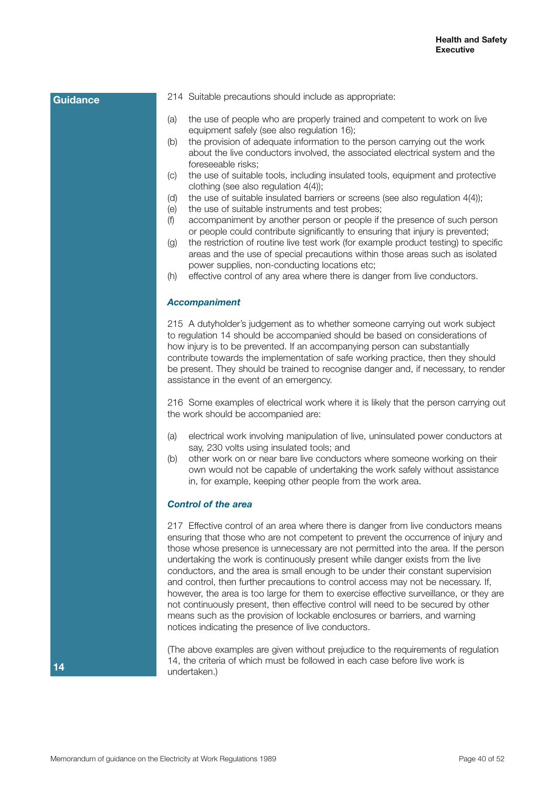- 214 Suitable precautions should include as appropriate:
- (a) the use of people who are properly trained and competent to work on live equipment safely (see also regulation 16);
- (b) the provision of adequate information to the person carrying out the work about the live conductors involved, the associated electrical system and the foreseeable risks;
- (c) the use of suitable tools, including insulated tools, equipment and protective clothing (see also regulation 4(4));
- (d) the use of suitable insulated barriers or screens (see also regulation 4(4));
- (e) the use of suitable instruments and test probes;
- (f) accompaniment by another person or people if the presence of such person or people could contribute significantly to ensuring that injury is prevented;
- (g) the restriction of routine live test work (for example product testing) to specific areas and the use of special precautions within those areas such as isolated power supplies, non-conducting locations etc;
- (h) effective control of any area where there is danger from live conductors.

### *Accompaniment*

215 A dutyholder's judgement as to whether someone carrying out work subject to regulation 14 should be accompanied should be based on considerations of how injury is to be prevented. If an accompanying person can substantially contribute towards the implementation of safe working practice, then they should be present. They should be trained to recognise danger and, if necessary, to render assistance in the event of an emergency.

216 Some examples of electrical work where it is likely that the person carrying out the work should be accompanied are:

- (a) electrical work involving manipulation of live, uninsulated power conductors at say, 230 volts using insulated tools; and
- (b) other work on or near bare live conductors where someone working on their own would not be capable of undertaking the work safely without assistance in, for example, keeping other people from the work area.

#### *Control of the area*

217 Effective control of an area where there is danger from live conductors means ensuring that those who are not competent to prevent the occurrence of injury and those whose presence is unnecessary are not permitted into the area. If the person undertaking the work is continuously present while danger exists from the live conductors, and the area is small enough to be under their constant supervision and control, then further precautions to control access may not be necessary. If, however, the area is too large for them to exercise effective surveillance, or they are not continuously present, then effective control will need to be secured by other means such as the provision of lockable enclosures or barriers, and warning notices indicating the presence of live conductors.

(The above examples are given without prejudice to the requirements of regulation 14, the criteria of which must be followed in each case before live work is undertaken.)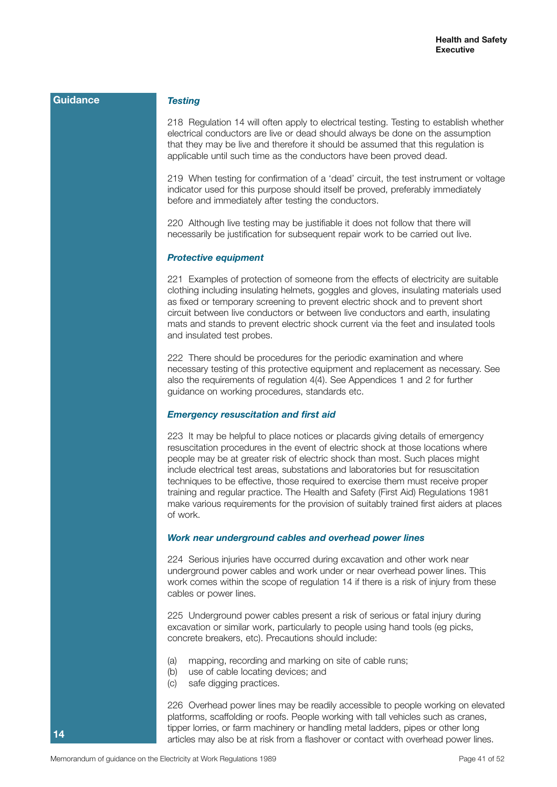#### *Testing*

218 Regulation 14 will often apply to electrical testing. Testing to establish whether electrical conductors are live or dead should always be done on the assumption that they may be live and therefore it should be assumed that this regulation is applicable until such time as the conductors have been proved dead.

219 When testing for confirmation of a 'dead' circuit, the test instrument or voltage indicator used for this purpose should itself be proved, preferably immediately before and immediately after testing the conductors.

220 Although live testing may be justifiable it does not follow that there will necessarily be justification for subsequent repair work to be carried out live.

#### *Protective equipment*

221 Examples of protection of someone from the effects of electricity are suitable clothing including insulating helmets, goggles and gloves, insulating materials used as fixed or temporary screening to prevent electric shock and to prevent short circuit between live conductors or between live conductors and earth, insulating mats and stands to prevent electric shock current via the feet and insulated tools and insulated test probes.

222 There should be procedures for the periodic examination and where necessary testing of this protective equipment and replacement as necessary. See also the requirements of regulation 4(4). See Appendices 1 and 2 for further guidance on working procedures, standards etc.

#### *Emergency resuscitation and first aid*

223 It may be helpful to place notices or placards giving details of emergency resuscitation procedures in the event of electric shock at those locations where people may be at greater risk of electric shock than most. Such places might include electrical test areas, substations and laboratories but for resuscitation techniques to be effective, those required to exercise them must receive proper training and regular practice. The Health and Safety (First Aid) Regulations 1981 make various requirements for the provision of suitably trained first aiders at places of work.

#### *Work near underground cables and overhead power lines*

224 Serious injuries have occurred during excavation and other work near underground power cables and work under or near overhead power lines. This work comes within the scope of regulation 14 if there is a risk of injury from these cables or power lines.

225 Underground power cables present a risk of serious or fatal injury during excavation or similar work, particularly to people using hand tools (eg picks, concrete breakers, etc). Precautions should include:

- (a) mapping, recording and marking on site of cable runs;
- (b) use of cable locating devices; and
- (c) safe digging practices.

226 Overhead power lines may be readily accessible to people working on elevated platforms, scaffolding or roofs. People working with tall vehicles such as cranes, tipper lorries, or farm machinery or handling metal ladders, pipes or other long articles may also be at risk from a flashover or contact with overhead power lines.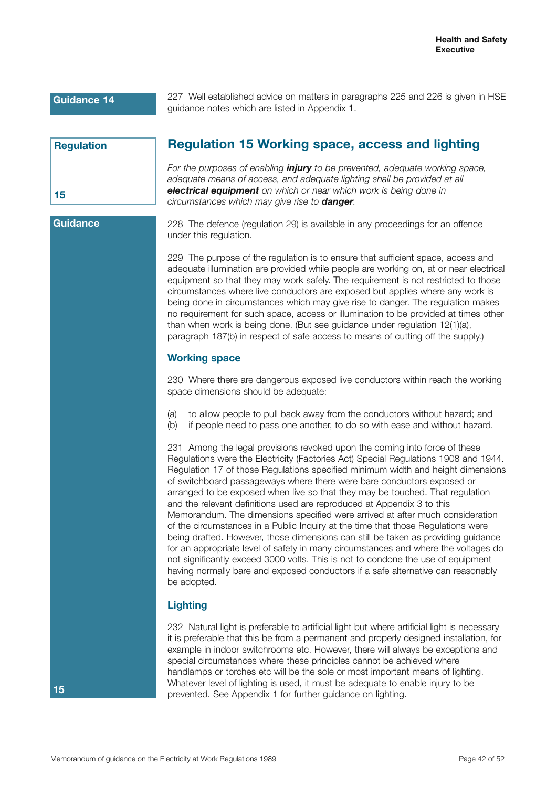227 Well established advice on matters in paragraphs 225 and 226 is given in HSE guidance notes which are listed in Appendix 1.

| <b>Regulation</b> |  |
|-------------------|--|
|                   |  |
|                   |  |
| 15                |  |

# **Regulation 15 Working space, access and lighting**

*For the purposes of enabling injury to be prevented, adequate working space, adequate means of access, and adequate lighting shall be provided at all electrical equipment on which or near which work is being done in circumstances which may give rise to danger.*

**Guidance**

228 The defence (regulation 29) is available in any proceedings for an offence under this regulation.

229 The purpose of the regulation is to ensure that sufficient space, access and adequate illumination are provided while people are working on, at or near electrical equipment so that they may work safely. The requirement is not restricted to those circumstances where live conductors are exposed but applies where any work is being done in circumstances which may give rise to danger. The regulation makes no requirement for such space, access or illumination to be provided at times other than when work is being done. (But see guidance under regulation 12(1)(a), paragraph 187(b) in respect of safe access to means of cutting off the supply.)

## **Working space**

230 Where there are dangerous exposed live conductors within reach the working space dimensions should be adequate:

- (a) to allow people to pull back away from the conductors without hazard; and
- (b) if people need to pass one another, to do so with ease and without hazard.

231 Among the legal provisions revoked upon the coming into force of these Regulations were the Electricity (Factories Act) Special Regulations 1908 and 1944. Regulation 17 of those Regulations specified minimum width and height dimensions of switchboard passageways where there were bare conductors exposed or arranged to be exposed when live so that they may be touched. That regulation and the relevant definitions used are reproduced at Appendix 3 to this Memorandum. The dimensions specified were arrived at after much consideration of the circumstances in a Public Inquiry at the time that those Regulations were being drafted. However, those dimensions can still be taken as providing guidance for an appropriate level of safety in many circumstances and where the voltages do not significantly exceed 3000 volts. This is not to condone the use of equipment having normally bare and exposed conductors if a safe alternative can reasonably be adopted.

# **Lighting**

232 Natural light is preferable to artificial light but where artificial light is necessary it is preferable that this be from a permanent and properly designed installation, for example in indoor switchrooms etc. However, there will always be exceptions and special circumstances where these principles cannot be achieved where handlamps or torches etc will be the sole or most important means of lighting. Whatever level of lighting is used, it must be adequate to enable injury to be prevented. See Appendix 1 for further guidance on lighting.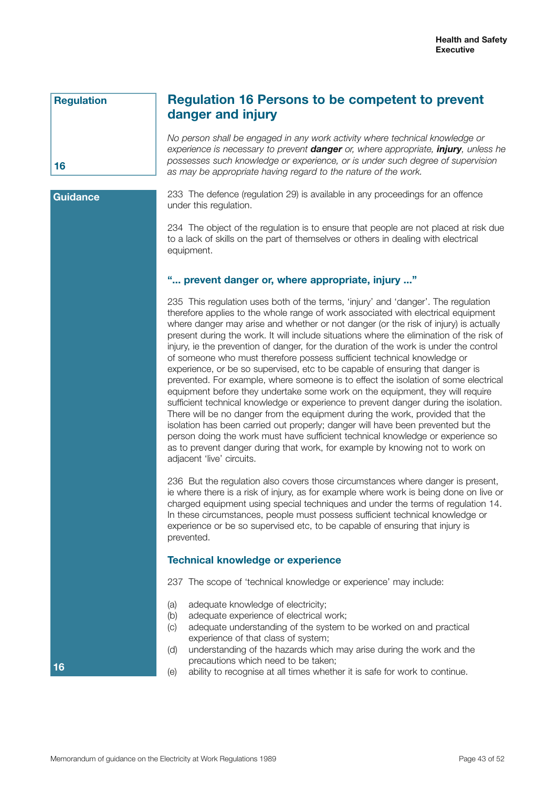# **Regulation**

# **Regulation 16 Persons to be competent to prevent danger and injury**

*No person shall be engaged in any work activity where technical knowledge or experience is necessary to prevent danger or, where appropriate, injury, unless he possesses such knowledge or experience, or is under such degree of supervision as may be appropriate having regard to the nature of the work.*

**Guidance**

**16**

**16**

233 The defence (regulation 29) is available in any proceedings for an offence under this regulation.

234 The object of the regulation is to ensure that people are not placed at risk due to a lack of skills on the part of themselves or others in dealing with electrical equipment.

# **"... prevent danger or, where appropriate, injury ..."**

235 This regulation uses both of the terms, 'injury' and 'danger'. The regulation therefore applies to the whole range of work associated with electrical equipment where danger may arise and whether or not danger (or the risk of injury) is actually present during the work. It will include situations where the elimination of the risk of injury, ie the prevention of danger, for the duration of the work is under the control of someone who must therefore possess sufficient technical knowledge or experience, or be so supervised, etc to be capable of ensuring that danger is prevented. For example, where someone is to effect the isolation of some electrical equipment before they undertake some work on the equipment, they will require sufficient technical knowledge or experience to prevent danger during the isolation. There will be no danger from the equipment during the work, provided that the isolation has been carried out properly; danger will have been prevented but the person doing the work must have sufficient technical knowledge or experience so as to prevent danger during that work, for example by knowing not to work on adjacent 'live' circuits.

236 But the regulation also covers those circumstances where danger is present, ie where there is a risk of injury, as for example where work is being done on live or charged equipment using special techniques and under the terms of regulation 14. In these circumstances, people must possess sufficient technical knowledge or experience or be so supervised etc, to be capable of ensuring that injury is prevented.

## **Technical knowledge or experience**

237 The scope of 'technical knowledge or experience' may include:

- (a) adequate knowledge of electricity;
- (b) adequate experience of electrical work;
- (c) adequate understanding of the system to be worked on and practical experience of that class of system;
- (d) understanding of the hazards which may arise during the work and the precautions which need to be taken;
- (e) ability to recognise at all times whether it is safe for work to continue.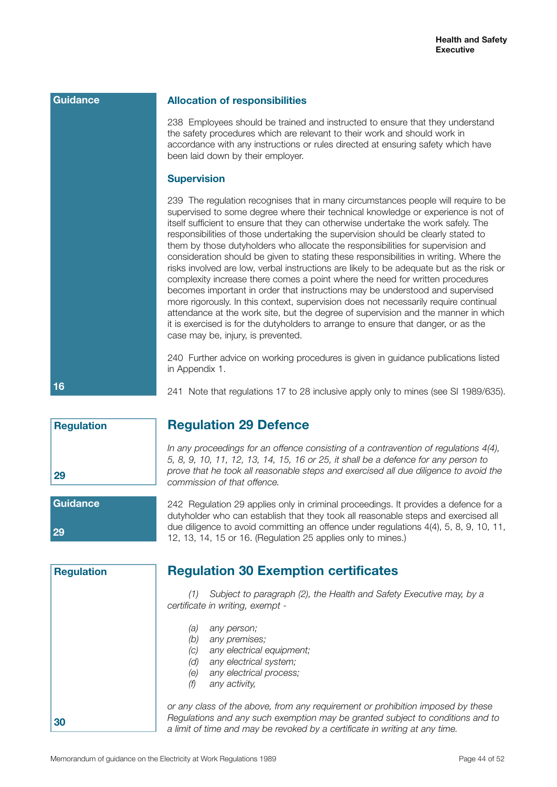**16**

**29**

**30**

**Regulation**

#### **Allocation of responsibilities**

**Regulation 29 Defence**

*commission of that offence.*

238 Employees should be trained and instructed to ensure that they understand the safety procedures which are relevant to their work and should work in accordance with any instructions or rules directed at ensuring safety which have been laid down by their employer.

## **Supervision**

239 The regulation recognises that in many circumstances people will require to be supervised to some degree where their technical knowledge or experience is not of itself sufficient to ensure that they can otherwise undertake the work safely. The responsibilities of those undertaking the supervision should be clearly stated to them by those dutyholders who allocate the responsibilities for supervision and consideration should be given to stating these responsibilities in writing. Where the risks involved are low, verbal instructions are likely to be adequate but as the risk or complexity increase there comes a point where the need for written procedures becomes important in order that instructions may be understood and supervised more rigorously. In this context, supervision does not necessarily require continual attendance at the work site, but the degree of supervision and the manner in which it is exercised is for the dutyholders to arrange to ensure that danger, or as the case may be, injury, is prevented.

240 Further advice on working procedures is given in guidance publications listed in Appendix 1.

241 Note that regulations 17 to 28 inclusive apply only to mines (see SI 1989/635).

*In any proceedings for an offence consisting of a contravention of regulations 4(4), 5, 8, 9, 10, 11, 12, 13, 14, 15, 16 or 25, it shall be a defence for any person to prove that he took all reasonable steps and exercised all due diligence to avoid the* 

*Regulations and any such exemption may be granted subject to conditions and to* 

*a limit of time and may be revoked by a certificate in writing at any time.*

|                       | שטו וטווט ווער וט וועוטטוו וווידווי                                                                                                                                                                                                                                                                                                |
|-----------------------|------------------------------------------------------------------------------------------------------------------------------------------------------------------------------------------------------------------------------------------------------------------------------------------------------------------------------------|
| <b>Guidance</b><br>29 | 242 Regulation 29 applies only in criminal proceedings. It provides a defence for a<br>dutyholder who can establish that they took all reasonable steps and exercised all<br>due diligence to avoid committing an offence under regulations 4(4), 5, 8, 9, 10, 11,<br>12, 13, 14, 15 or 16. (Regulation 25 applies only to mines.) |
| <b>Regulation</b>     | <b>Regulation 30 Exemption certificates</b>                                                                                                                                                                                                                                                                                        |
|                       | Subject to paragraph (2), the Health and Safety Executive may, by a<br>(1)<br>certificate in writing, exempt -                                                                                                                                                                                                                     |
|                       | (a)<br>any person;<br>(b)<br>any premises;<br>any electrical equipment;<br>(c)<br>(d)<br>any electrical system;<br>any electrical process;<br>(e)<br>(f)<br>any activity,<br>or any class of the above, from any requirement or prohibition imposed by these                                                                       |

Memorandum of guidance on the Electricity at Work Regulations 1989 **Page 14 of 52** Page 44 of 52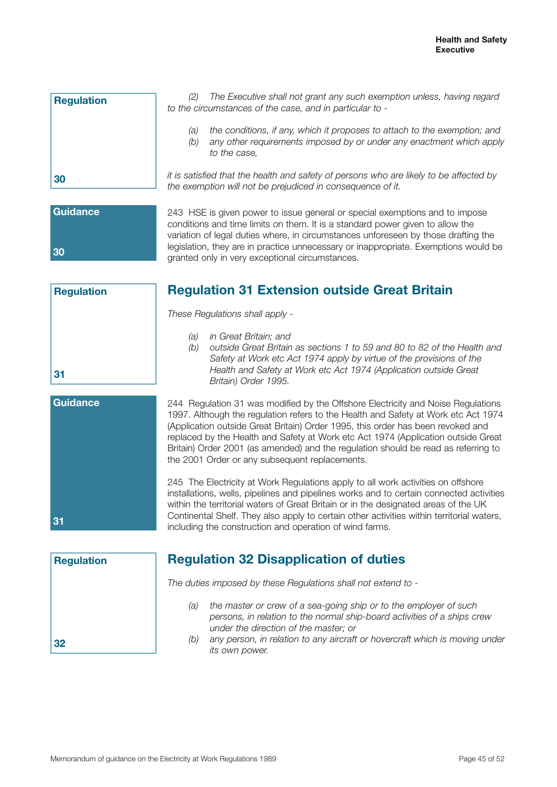| <b>Regulation</b> | The Executive shall not grant any such exemption unless, having regard<br>(2)<br>to the circumstances of the case, and in particular to -                                       |
|-------------------|---------------------------------------------------------------------------------------------------------------------------------------------------------------------------------|
|                   | the conditions, if any, which it proposes to attach to the exemption; and<br>(a)<br>any other requirements imposed by or under any enactment which apply<br>(b)<br>to the case. |
| 30                | it is satisfied that the health and safety of persons who are likely to be affected by<br>the exemption will not be prejudiced in consequence of it.                            |

**Regulation**

**31**

243 HSE is given power to issue general or special exemptions and to impose conditions and time limits on them. It is a standard power given to allow the variation of legal duties where, in circumstances unforeseen by those drafting the legislation, they are in practice unnecessary or inappropriate. Exemptions would be granted only in very exceptional circumstances.

# **Regulation 31 Extension outside Great Britain**

*These Regulations shall apply -*

- *(a) in Great Britain; and*
- *(b) outside Great Britain as sections 1 to 59 and 80 to 82 of the Health and Safety at Work etc Act 1974 apply by virtue of the provisions of the Health and Safety at Work etc Act 1974 (Application outside Great Britain) Order 1995.*
- **Guidance 31**

244 Regulation 31 was modified by the Offshore Electricity and Noise Regulations 1997. Although the regulation refers to the Health and Safety at Work etc Act 1974 (Application outside Great Britain) Order 1995, this order has been revoked and replaced by the Health and Safety at Work etc Act 1974 (Application outside Great Britain) Order 2001 (as amended) and the regulation should be read as referring to the 2001 Order or any subsequent replacements.

245 The Electricity at Work Regulations apply to all work activities on offshore installations, wells, pipelines and pipelines works and to certain connected activities within the territorial waters of Great Britain or in the designated areas of the UK Continental Shelf. They also apply to certain other activities within territorial waters, including the construction and operation of wind farms.

| <b>Regulation</b> |  |
|-------------------|--|
|                   |  |
|                   |  |
|                   |  |
| 32                |  |

# **Regulation 32 Disapplication of duties**

*The duties imposed by these Regulations shall not extend to -*

- *(a) the master or crew of a sea-going ship or to the employer of such persons, in relation to the normal ship-board activities of a ships crew under the direction of the master; or*
- *(b) any person, in relation to any aircraft or hovercraft which is moving under its own power.*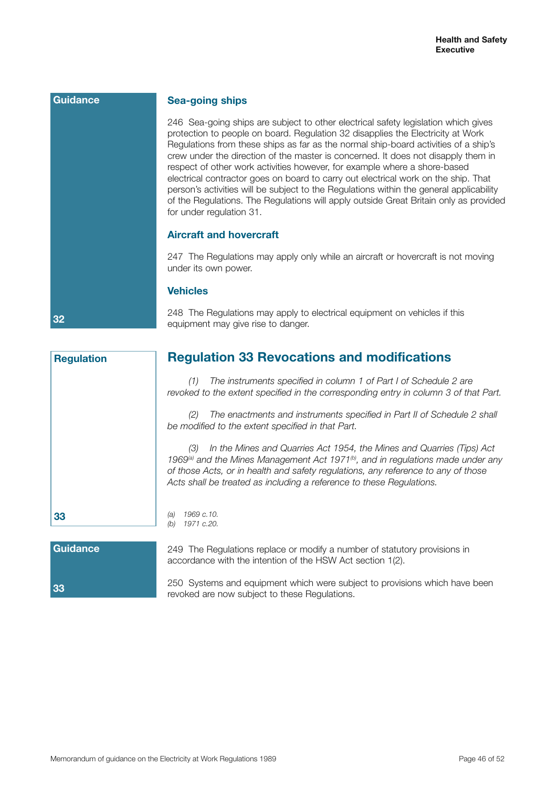**32**

**33**

**Regulation**

## **Sea-going ships**

246 Sea-going ships are subject to other electrical safety legislation which gives protection to people on board. Regulation 32 disapplies the Electricity at Work Regulations from these ships as far as the normal ship-board activities of a ship's crew under the direction of the master is concerned. It does not disapply them in respect of other work activities however, for example where a shore-based electrical contractor goes on board to carry out electrical work on the ship. That person's activities will be subject to the Regulations within the general applicability of the Regulations. The Regulations will apply outside Great Britain only as provided for under regulation 31.

## **Aircraft and hovercraft**

247 The Regulations may apply only while an aircraft or hovercraft is not moving under its own power.

#### **Vehicles**

248 The Regulations may apply to electrical equipment on vehicles if this equipment may give rise to danger.

*(1) The instruments specified in column 1 of Part I of Schedule 2 are revoked to the extent specified in the corresponding entry in column 3 of that Part.*

*(2) The enactments and instruments specified in Part II of Schedule 2 shall be modified to the extent specified in that Part.*

*(3) In the Mines and Quarries Act 1954, the Mines and Quarries (Tips) Act*  1969<sup>(a)</sup> and the Mines Management Act 1971<sup>(b)</sup>, and in regulations made under any *of those Acts, or in health and safety regulations, any reference to any of those Acts shall be treated as including a reference to these Regulations.*

#### *(a) 1969 c.10. (b) 1971 c.20.*

| 33 |  |
|----|--|

249 The Regulations replace or modify a number of statutory provisions in accordance with the intention of the HSW Act section 1(2).

250 Systems and equipment which were subject to provisions which have been revoked are now subject to these Regulations.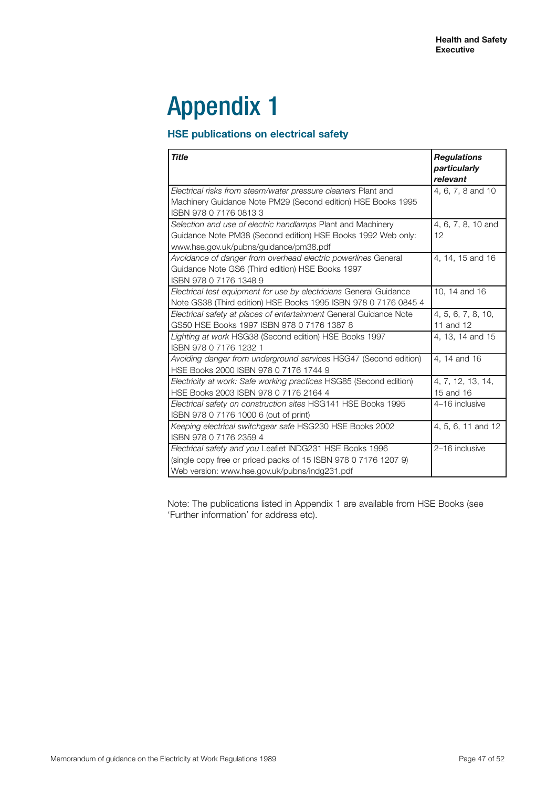# Appendix 1

# **HSE publications on electrical safety**

| <b>Title</b>                                                                                                                                                                 | <b>Regulations</b><br>particularly<br>relevant |
|------------------------------------------------------------------------------------------------------------------------------------------------------------------------------|------------------------------------------------|
| Electrical risks from steam/water pressure cleaners Plant and<br>Machinery Guidance Note PM29 (Second edition) HSE Books 1995<br>ISBN 978 0 7176 0813 3                      | 4, 6, 7, 8 and 10                              |
| Selection and use of electric handlamps Plant and Machinery<br>Guidance Note PM38 (Second edition) HSE Books 1992 Web only:<br>www.hse.gov.uk/pubns/guidance/pm38.pdf        | 4, 6, 7, 8, 10 and<br>12                       |
| Avoidance of danger from overhead electric powerlines General<br>Guidance Note GS6 (Third edition) HSE Books 1997<br>ISBN 978 0 7176 1348 9                                  | 4, 14, 15 and 16                               |
| Electrical test equipment for use by electricians General Guidance<br>Note GS38 (Third edition) HSE Books 1995 ISBN 978 0 7176 0845 4                                        | 10, 14 and 16                                  |
| Electrical safety at places of entertainment General Guidance Note<br>GS50 HSE Books 1997 ISBN 978 0 7176 1387 8                                                             | 4, 5, 6, 7, 8, 10,<br>11 and 12                |
| Lighting at work HSG38 (Second edition) HSE Books 1997<br>ISBN 978 0 7176 1232 1                                                                                             | 4, 13, 14 and 15                               |
| Avoiding danger from underground services HSG47 (Second edition)<br>HSE Books 2000 ISBN 978 0 7176 1744 9                                                                    | 4, 14 and 16                                   |
| Electricity at work: Safe working practices HSG85 (Second edition)<br>HSE Books 2003 ISBN 978 0 7176 2164 4                                                                  | 4, 7, 12, 13, 14,<br>15 and 16                 |
| Electrical safety on construction sites HSG141 HSE Books 1995<br>ISBN 978 0 7176 1000 6 (out of print)                                                                       | 4-16 inclusive                                 |
| Keeping electrical switchgear safe HSG230 HSE Books 2002<br>ISBN 978 0 7176 2359 4                                                                                           | 4, 5, 6, 11 and 12                             |
| Electrical safety and you Leaflet INDG231 HSE Books 1996<br>(single copy free or priced packs of 15 ISBN 978 0 7176 1207 9)<br>Web version: www.hse.gov.uk/pubns/indg231.pdf | 2-16 inclusive                                 |

Note: The publications listed in Appendix 1 are available from HSE Books (see 'Further information' for address etc).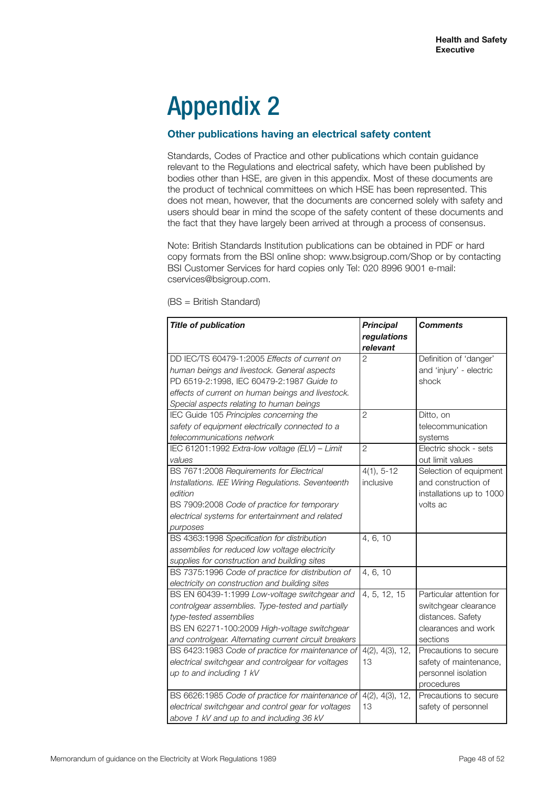# Appendix 2

# **Other publications having an electrical safety content**

Standards, Codes of Practice and other publications which contain guidance relevant to the Regulations and electrical safety, which have been published by bodies other than HSE, are given in this appendix. Most of these documents are the product of technical committees on which HSE has been represented. This does not mean, however, that the documents are concerned solely with safety and users should bear in mind the scope of the safety content of these documents and the fact that they have largely been arrived at through a process of consensus.

Note: British Standards Institution publications can be obtained in PDF or hard copy formats from the BSI online shop: www.bsigroup.com/Shop or by contacting BSI Customer Services for hard copies only Tel: 020 8996 9001 e-mail: cservices@bsigroup.com.

| <b>Title of publication</b>                           | <b>Principal</b><br>regulations | <b>Comments</b>          |
|-------------------------------------------------------|---------------------------------|--------------------------|
|                                                       | relevant                        |                          |
| DD IEC/TS 60479-1:2005 Effects of current on          | $\overline{2}$                  | Definition of 'danger'   |
| human beings and livestock. General aspects           |                                 | and 'injury' - electric  |
| PD 6519-2:1998, IEC 60479-2:1987 Guide to             |                                 | shock                    |
| effects of current on human beings and livestock.     |                                 |                          |
| Special aspects relating to human beings              |                                 |                          |
| IEC Guide 105 Principles concerning the               | $\overline{2}$                  | Ditto, on                |
| safety of equipment electrically connected to a       |                                 | telecommunication        |
| telecommunications network                            |                                 | systems                  |
| IEC 61201:1992 Extra-low voltage (ELV) - Limit        | $\overline{2}$                  | Electric shock - sets    |
| values                                                |                                 | out limit values         |
| BS 7671:2008 Requirements for Electrical              | $4(1), 5-12$                    | Selection of equipment   |
| Installations. IEE Wiring Regulations. Seventeenth    | inclusive                       | and construction of      |
| edition                                               |                                 | installations up to 1000 |
| BS 7909:2008 Code of practice for temporary           |                                 | volts ac                 |
| electrical systems for entertainment and related      |                                 |                          |
| purposes                                              |                                 |                          |
| BS 4363:1998 Specification for distribution           | 4, 6, 10                        |                          |
| assemblies for reduced low voltage electricity        |                                 |                          |
| supplies for construction and building sites          |                                 |                          |
| BS 7375:1996 Code of practice for distribution of     | 4, 6, 10                        |                          |
| electricity on construction and building sites        |                                 |                          |
| BS EN 60439-1:1999 Low-voltage switchgear and         | 4, 5, 12, 15                    | Particular attention for |
| controlgear assemblies. Type-tested and partially     |                                 | switchgear clearance     |
| type-tested assemblies                                |                                 | distances. Safety        |
| BS EN 62271-100:2009 High-voltage switchgear          |                                 | clearances and work      |
| and controlgear. Alternating current circuit breakers |                                 | sections                 |
| BS 6423:1983 Code of practice for maintenance of      | 4(2), 4(3), 12,                 | Precautions to secure    |
| electrical switchgear and controlgear for voltages    | 13                              | safety of maintenance,   |
| up to and including 1 kV                              |                                 | personnel isolation      |
|                                                       |                                 | procedures               |
| BS 6626:1985 Code of practice for maintenance of      | 4(2), 4(3), 12,                 | Precautions to secure    |
| electrical switchgear and control gear for voltages   | 13                              | safety of personnel      |
| above 1 kV and up to and including 36 kV              |                                 |                          |

(BS = British Standard)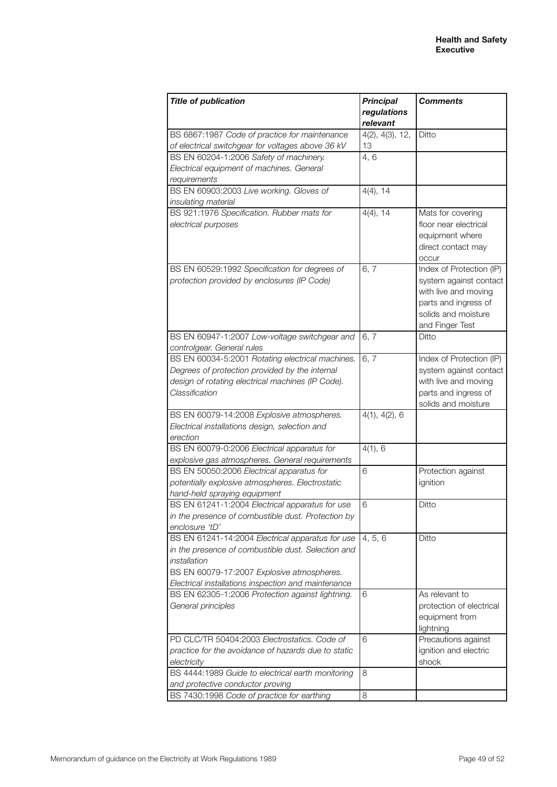| <b>Title of publication</b>                         | <b>Principal</b> | <b>Comments</b>                  |
|-----------------------------------------------------|------------------|----------------------------------|
|                                                     | regulations      |                                  |
|                                                     | relevant         |                                  |
| BS 6867:1987 Code of practice for maintenance       | 4(2), 4(3), 12,  | Ditto                            |
| of electrical switchgear for voltages above 36 kV   | 13               |                                  |
| BS EN 60204-1:2006 Safety of machinery.             | 4, 6             |                                  |
| Electrical equipment of machines. General           |                  |                                  |
| requirements                                        |                  |                                  |
| BS EN 60903:2003 Live working. Gloves of            | $4(4)$ , 14      |                                  |
| insulating material                                 |                  |                                  |
| BS 921:1976 Specification. Rubber mats for          | $4(4)$ , 14      | Mats for covering                |
| electrical purposes                                 |                  | floor near electrical            |
|                                                     |                  | equipment where                  |
|                                                     |                  | direct contact may               |
|                                                     |                  | occur                            |
| BS EN 60529:1992 Specification for degrees of       | 6,7              | Index of Protection (IP)         |
| protection provided by enclosures (IP Code)         |                  | system against contact           |
|                                                     |                  | with live and moving             |
|                                                     |                  | parts and ingress of             |
|                                                     |                  | solids and moisture              |
| BS EN 60947-1:2007 Low-voltage switchgear and       | 6,7              | and Finger Test<br>Ditto         |
| controlgear. General rules                          |                  |                                  |
| BS EN 60034-5:2001 Rotating electrical machines.    | 6, 7             | Index of Protection (IP)         |
| Degrees of protection provided by the internal      |                  | system against contact           |
| design of rotating electrical machines (IP Code).   |                  | with live and moving             |
| Classification                                      |                  | parts and ingress of             |
|                                                     |                  | solids and moisture              |
| BS EN 60079-14:2008 Explosive atmospheres.          | 4(1), 4(2), 6    |                                  |
| Electrical installations design, selection and      |                  |                                  |
| erection                                            |                  |                                  |
| BS EN 60079-0:2006 Electrical apparatus for         | 4(1), 6          |                                  |
| explosive gas atmospheres. General requirements     |                  |                                  |
| BS EN 50050:2006 Electrical apparatus for           | 6                | Protection against               |
| potentially explosive atmospheres. Electrostatic    |                  | ignition                         |
| hand-held spraying equipment                        |                  |                                  |
| BS EN 61241-1:2004 Electrical apparatus for use     | 6                | Ditto                            |
| in the presence of combustible dust. Protection by  |                  |                                  |
| enclosure 'tD'                                      |                  |                                  |
| BS EN 61241-14:2004 Electrical apparatus for use    | 4, 5, 6          | Ditto                            |
| in the presence of combustible dust. Selection and  |                  |                                  |
| installation                                        |                  |                                  |
| BS EN 60079-17:2007 Explosive atmospheres.          |                  |                                  |
| Electrical installations inspection and maintenance |                  |                                  |
| BS EN 62305-1:2006 Protection against lightning.    | 6                | As relevant to                   |
| General principles                                  |                  | protection of electrical         |
|                                                     |                  | equipment from                   |
| PD CLC/TR 50404:2003 Electrostatics, Code of        | 6                | lightning<br>Precautions against |
| practice for the avoidance of hazards due to static |                  | ignition and electric            |
| electricity                                         |                  | shock                            |
| BS 4444:1989 Guide to electrical earth monitoring   | 8                |                                  |
| and protective conductor proving                    |                  |                                  |
| BS 7430:1998 Code of practice for earthing          | 8                |                                  |
|                                                     |                  |                                  |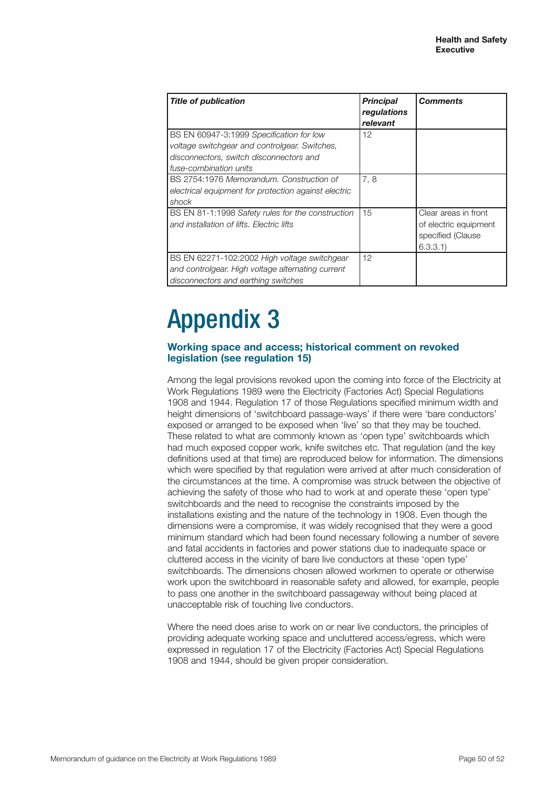| <b>Title of publication</b>                                                                                                                                    | <b>Principal</b><br>regulations<br>relevant | <b>Comments</b>                                                               |
|----------------------------------------------------------------------------------------------------------------------------------------------------------------|---------------------------------------------|-------------------------------------------------------------------------------|
| BS EN 60947-3:1999 Specification for low<br>voltage switchgear and controlgear. Switches,<br>disconnectors, switch disconnectors and<br>fuse-combination units | 12                                          |                                                                               |
| BS 2754:1976 Memorandum, Construction of<br>electrical equipment for protection against electric<br>shock                                                      | 7,8                                         |                                                                               |
| BS EN 81-1:1998 Safety rules for the construction<br>and installation of lifts. Electric lifts                                                                 | 15                                          | Clear areas in front<br>of electric equipment<br>specified (Clause<br>6.3.3.1 |
| BS EN 62271-102:2002 High voltage switchgear<br>and controlgear. High voltage alternating current<br>disconnectors and earthing switches                       | 12                                          |                                                                               |

# Appendix 3

# **Working space and access; historical comment on revoked legislation (see regulation 15)**

Among the legal provisions revoked upon the coming into force of the Electricity at Work Regulations 1989 were the Electricity (Factories Act) Special Regulations 1908 and 1944. Regulation 17 of those Regulations specified minimum width and height dimensions of 'switchboard passage-ways' if there were 'bare conductors' exposed or arranged to be exposed when 'live' so that they may be touched. These related to what are commonly known as 'open type' switchboards which had much exposed copper work, knife switches etc. That regulation (and the key definitions used at that time) are reproduced below for information. The dimensions which were specified by that regulation were arrived at after much consideration of the circumstances at the time. A compromise was struck between the objective of achieving the safety of those who had to work at and operate these 'open type' switchboards and the need to recognise the constraints imposed by the installations existing and the nature of the technology in 1908. Even though the dimensions were a compromise, it was widely recognised that they were a good minimum standard which had been found necessary following a number of severe and fatal accidents in factories and power stations due to inadequate space or cluttered access in the vicinity of bare live conductors at these 'open type' switchboards. The dimensions chosen allowed workmen to operate or otherwise work upon the switchboard in reasonable safety and allowed, for example, people to pass one another in the switchboard passageway without being placed at unacceptable risk of touching live conductors.

Where the need does arise to work on or near live conductors, the principles of providing adequate working space and uncluttered access/egress, which were expressed in regulation 17 of the Electricity (Factories Act) Special Regulations 1908 and 1944, should be given proper consideration.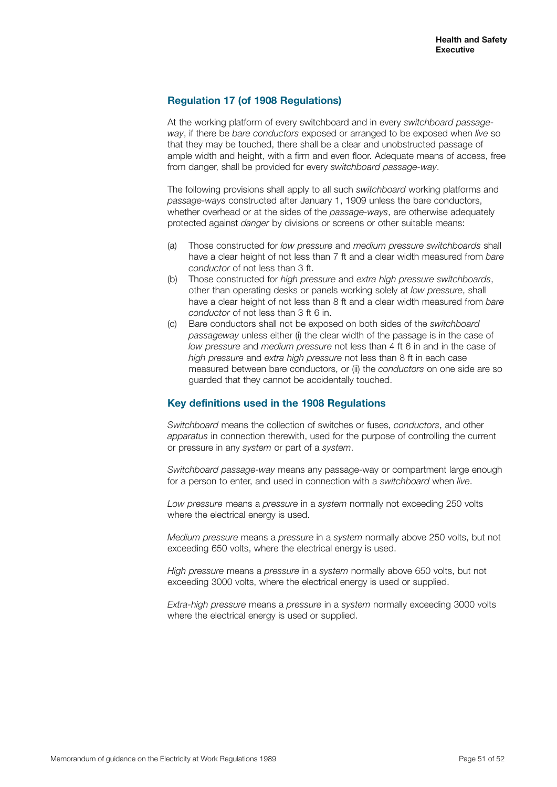# **Regulation 17 (of 1908 Regulations)**

At the working platform of every switchboard and in every *switchboard passageway*, if there be *bare conductors* exposed or arranged to be exposed when *live* so that they may be touched, there shall be a clear and unobstructed passage of ample width and height, with a firm and even floor. Adequate means of access, free from danger, shall be provided for every *switchboard passage-way*.

The following provisions shall apply to all such *switchboard* working platforms and *passage-ways* constructed after January 1, 1909 unless the bare conductors, whether overhead or at the sides of the *passage-ways*, are otherwise adequately protected against *danger* by divisions or screens or other suitable means:

- (a) Those constructed for *low pressure* and *medium pressure switchboards* shall have a clear height of not less than 7 ft and a clear width measured from *bare conductor* of not less than 3 ft.
- (b) Those constructed for *high pressure* and *extra high pressure switchboards*, other than operating desks or panels working solely at *low pressure*, shall have a clear height of not less than 8 ft and a clear width measured from *bare conductor* of not less than 3 ft 6 in.
- (c) Bare conductors shall not be exposed on both sides of the *switchboard passageway* unless either (i) the clear width of the passage is in the case of *low pressure* and *medium pressure* not less than 4 ft 6 in and in the case of *high pressure* and *extra high pressure* not less than 8 ft in each case measured between bare conductors, or (ii) the *conductors* on one side are so guarded that they cannot be accidentally touched.

## **Key definitions used in the 1908 Regulations**

*Switchboard* means the collection of switches or fuses, *conductors*, and other *apparatus* in connection therewith, used for the purpose of controlling the current or pressure in any *system* or part of a *system*.

*Switchboard passage-way* means any passage-way or compartment large enough for a person to enter, and used in connection with a *switchboard* when *live*.

*Low pressure* means a *pressure* in a *system* normally not exceeding 250 volts where the electrical energy is used.

*Medium pressure* means a *pressure* in a *system* normally above 250 volts, but not exceeding 650 volts, where the electrical energy is used.

*High pressure* means a *pressure* in a *system* normally above 650 volts, but not exceeding 3000 volts, where the electrical energy is used or supplied.

*Extra-high pressure* means a *pressure* in a *system* normally exceeding 3000 volts where the electrical energy is used or supplied.